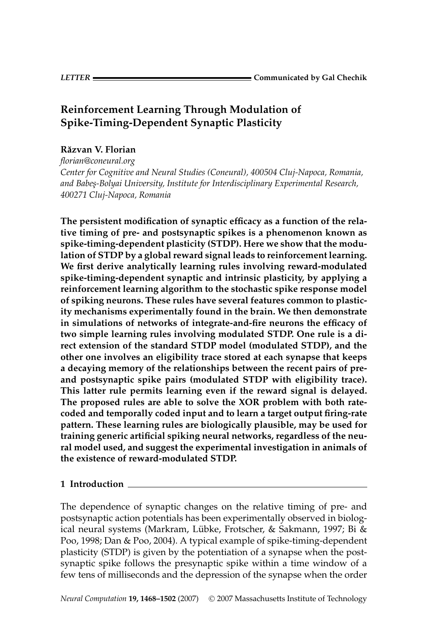# **Reinforcement Learning Through Modulation of Spike-Timing-Dependent Synaptic Plasticity**

# **Razvan V. Florian ˘**

*florian@coneural.org Center for Cognitive and Neural Studies (Coneural), 400504 Cluj-Napoca, Romania, and Babes¸-Bolyai University, Institute for Interdisciplinary Experimental Research, 400271 Cluj-Napoca, Romania*

**The persistent modification of synaptic efficacy as a function of the relative timing of pre- and postsynaptic spikes is a phenomenon known as spike-timing-dependent plasticity (STDP). Here we show that the modulation of STDP by a global reward signal leads to reinforcement learning. We first derive analytically learning rules involving reward-modulated spike-timing-dependent synaptic and intrinsic plasticity, by applying a reinforcement learning algorithm to the stochastic spike response model of spiking neurons. These rules have several features common to plasticity mechanisms experimentally found in the brain. We then demonstrate in simulations of networks of integrate-and-fire neurons the efficacy of two simple learning rules involving modulated STDP. One rule is a direct extension of the standard STDP model (modulated STDP), and the other one involves an eligibility trace stored at each synapse that keeps a decaying memory of the relationships between the recent pairs of preand postsynaptic spike pairs (modulated STDP with eligibility trace). This latter rule permits learning even if the reward signal is delayed. The proposed rules are able to solve the XOR problem with both ratecoded and temporally coded input and to learn a target output firing-rate pattern. These learning rules are biologically plausible, may be used for training generic artificial spiking neural networks, regardless of the neural model used, and suggest the experimental investigation in animals of the existence of reward-modulated STDP.**

# **1 Introduction**

The dependence of synaptic changes on the relative timing of pre- and postsynaptic action potentials has been experimentally observed in biological neural systems (Markram, Lübke, Frotscher, & Sakmann, 1997; Bi & Poo, 1998; Dan & Poo, 2004). A typical example of spike-timing-dependent plasticity (STDP) is given by the potentiation of a synapse when the postsynaptic spike follows the presynaptic spike within a time window of a few tens of milliseconds and the depression of the synapse when the order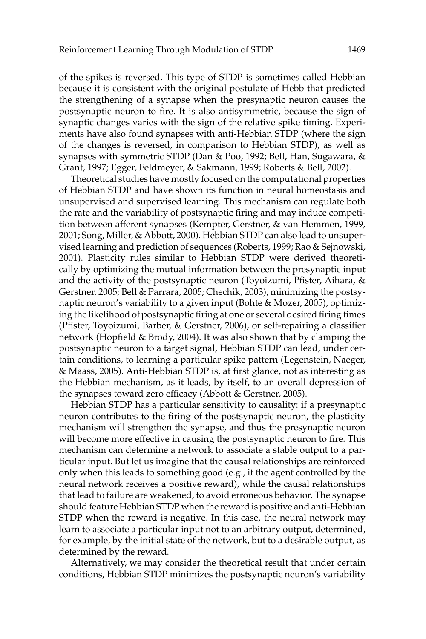of the spikes is reversed. This type of STDP is sometimes called Hebbian because it is consistent with the original postulate of Hebb that predicted the strengthening of a synapse when the presynaptic neuron causes the postsynaptic neuron to fire. It is also antisymmetric, because the sign of synaptic changes varies with the sign of the relative spike timing. Experiments have also found synapses with anti-Hebbian STDP (where the sign of the changes is reversed, in comparison to Hebbian STDP), as well as synapses with symmetric STDP (Dan & Poo, 1992; Bell, Han, Sugawara, & Grant, 1997; Egger, Feldmeyer, & Sakmann, 1999; Roberts & Bell, 2002).

Theoretical studies have mostly focused on the computational properties of Hebbian STDP and have shown its function in neural homeostasis and unsupervised and supervised learning. This mechanism can regulate both the rate and the variability of postsynaptic firing and may induce competition between afferent synapses (Kempter, Gerstner, & van Hemmen, 1999, 2001; Song, Miller, & Abbott, 2000). Hebbian STDP can also lead to unsupervised learning and prediction of sequences (Roberts, 1999; Rao & Sejnowski, 2001). Plasticity rules similar to Hebbian STDP were derived theoretically by optimizing the mutual information between the presynaptic input and the activity of the postsynaptic neuron (Toyoizumi, Pfister, Aihara, & Gerstner, 2005; Bell & Parrara, 2005; Chechik, 2003), minimizing the postsynaptic neuron's variability to a given input (Bohte & Mozer, 2005), optimizing the likelihood of postsynaptic firing at one or several desired firing times (Pfister, Toyoizumi, Barber, & Gerstner, 2006), or self-repairing a classifier network (Hopfield & Brody, 2004). It was also shown that by clamping the postsynaptic neuron to a target signal, Hebbian STDP can lead, under certain conditions, to learning a particular spike pattern (Legenstein, Naeger, & Maass, 2005). Anti-Hebbian STDP is, at first glance, not as interesting as the Hebbian mechanism, as it leads, by itself, to an overall depression of the synapses toward zero efficacy (Abbott & Gerstner, 2005).

Hebbian STDP has a particular sensitivity to causality: if a presynaptic neuron contributes to the firing of the postsynaptic neuron, the plasticity mechanism will strengthen the synapse, and thus the presynaptic neuron will become more effective in causing the postsynaptic neuron to fire. This mechanism can determine a network to associate a stable output to a particular input. But let us imagine that the causal relationships are reinforced only when this leads to something good (e.g., if the agent controlled by the neural network receives a positive reward), while the causal relationships that lead to failure are weakened, to avoid erroneous behavior. The synapse should feature Hebbian STDP when the reward is positive and anti-Hebbian STDP when the reward is negative. In this case, the neural network may learn to associate a particular input not to an arbitrary output, determined, for example, by the initial state of the network, but to a desirable output, as determined by the reward.

Alternatively, we may consider the theoretical result that under certain conditions, Hebbian STDP minimizes the postsynaptic neuron's variability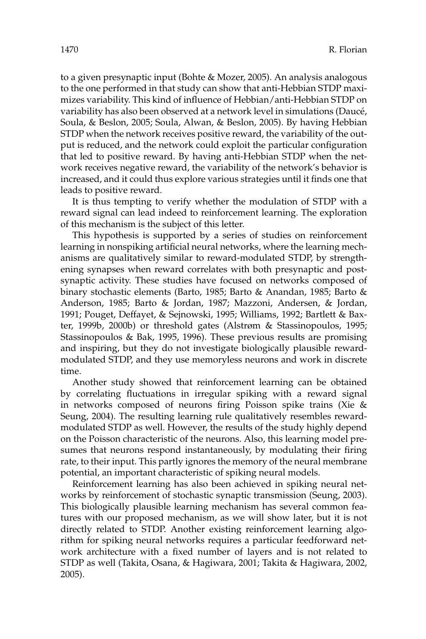to a given presynaptic input (Bohte & Mozer, 2005). An analysis analogous to the one performed in that study can show that anti-Hebbian STDP maximizes variability. This kind of influence of Hebbian/anti-Hebbian STDP on variability has also been observed at a network level in simulations (Daucé, Soula, & Beslon, 2005; Soula, Alwan, & Beslon, 2005). By having Hebbian STDP when the network receives positive reward, the variability of the output is reduced, and the network could exploit the particular configuration that led to positive reward. By having anti-Hebbian STDP when the network receives negative reward, the variability of the network's behavior is increased, and it could thus explore various strategies until it finds one that leads to positive reward.

It is thus tempting to verify whether the modulation of STDP with a reward signal can lead indeed to reinforcement learning. The exploration of this mechanism is the subject of this letter.

This hypothesis is supported by a series of studies on reinforcement learning in nonspiking artificial neural networks, where the learning mechanisms are qualitatively similar to reward-modulated STDP, by strengthening synapses when reward correlates with both presynaptic and postsynaptic activity. These studies have focused on networks composed of binary stochastic elements (Barto, 1985; Barto & Anandan, 1985; Barto & Anderson, 1985; Barto & Jordan, 1987; Mazzoni, Andersen, & Jordan, 1991; Pouget, Deffayet, & Sejnowski, 1995; Williams, 1992; Bartlett & Baxter, 1999b, 2000b) or threshold gates (Alstrøm & Stassinopoulos, 1995; Stassinopoulos & Bak, 1995, 1996). These previous results are promising and inspiring, but they do not investigate biologically plausible rewardmodulated STDP, and they use memoryless neurons and work in discrete time.

Another study showed that reinforcement learning can be obtained by correlating fluctuations in irregular spiking with a reward signal in networks composed of neurons firing Poisson spike trains (Xie & Seung, 2004). The resulting learning rule qualitatively resembles rewardmodulated STDP as well. However, the results of the study highly depend on the Poisson characteristic of the neurons. Also, this learning model presumes that neurons respond instantaneously, by modulating their firing rate, to their input. This partly ignores the memory of the neural membrane potential, an important characteristic of spiking neural models.

Reinforcement learning has also been achieved in spiking neural networks by reinforcement of stochastic synaptic transmission (Seung, 2003). This biologically plausible learning mechanism has several common features with our proposed mechanism, as we will show later, but it is not directly related to STDP. Another existing reinforcement learning algorithm for spiking neural networks requires a particular feedforward network architecture with a fixed number of layers and is not related to STDP as well (Takita, Osana, & Hagiwara, 2001; Takita & Hagiwara, 2002, 2005).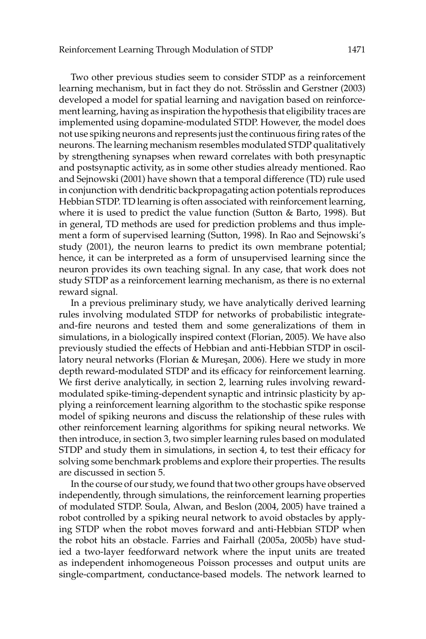Two other previous studies seem to consider STDP as a reinforcement learning mechanism, but in fact they do not. Strösslin and Gerstner (2003) developed a model for spatial learning and navigation based on reinforcement learning, having as inspiration the hypothesis that eligibility traces are implemented using dopamine-modulated STDP. However, the model does not use spiking neurons and represents just the continuous firing rates of the neurons. The learning mechanism resembles modulated STDP qualitatively by strengthening synapses when reward correlates with both presynaptic and postsynaptic activity, as in some other studies already mentioned. Rao and Sejnowski (2001) have shown that a temporal difference (TD) rule used in conjunction with dendritic backpropagating action potentials reproduces Hebbian STDP. TD learning is often associated with reinforcement learning, where it is used to predict the value function (Sutton & Barto, 1998). But in general, TD methods are used for prediction problems and thus implement a form of supervised learning (Sutton, 1998). In Rao and Sejnowski's study (2001), the neuron learns to predict its own membrane potential; hence, it can be interpreted as a form of unsupervised learning since the neuron provides its own teaching signal. In any case, that work does not study STDP as a reinforcement learning mechanism, as there is no external reward signal.

In a previous preliminary study, we have analytically derived learning rules involving modulated STDP for networks of probabilistic integrateand-fire neurons and tested them and some generalizations of them in simulations, in a biologically inspired context (Florian, 2005). We have also previously studied the effects of Hebbian and anti-Hebbian STDP in oscillatory neural networks (Florian & Muresan, 2006). Here we study in more depth reward-modulated STDP and its efficacy for reinforcement learning. We first derive analytically, in section 2, learning rules involving rewardmodulated spike-timing-dependent synaptic and intrinsic plasticity by applying a reinforcement learning algorithm to the stochastic spike response model of spiking neurons and discuss the relationship of these rules with other reinforcement learning algorithms for spiking neural networks. We then introduce, in section 3, two simpler learning rules based on modulated STDP and study them in simulations, in section 4, to test their efficacy for solving some benchmark problems and explore their properties. The results are discussed in section 5.

In the course of our study, we found that two other groups have observed independently, through simulations, the reinforcement learning properties of modulated STDP. Soula, Alwan, and Beslon (2004, 2005) have trained a robot controlled by a spiking neural network to avoid obstacles by applying STDP when the robot moves forward and anti-Hebbian STDP when the robot hits an obstacle. Farries and Fairhall (2005a, 2005b) have studied a two-layer feedforward network where the input units are treated as independent inhomogeneous Poisson processes and output units are single-compartment, conductance-based models. The network learned to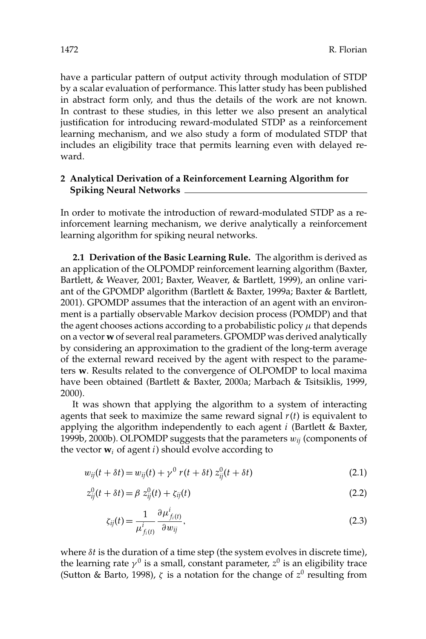have a particular pattern of output activity through modulation of STDP by a scalar evaluation of performance. This latter study has been published in abstract form only, and thus the details of the work are not known. In contrast to these studies, in this letter we also present an analytical justification for introducing reward-modulated STDP as a reinforcement learning mechanism, and we also study a form of modulated STDP that includes an eligibility trace that permits learning even with delayed reward.

# **2 Analytical Derivation of a Reinforcement Learning Algorithm for Spiking Neural Networks**

In order to motivate the introduction of reward-modulated STDP as a reinforcement learning mechanism, we derive analytically a reinforcement learning algorithm for spiking neural networks.

**2.1 Derivation of the Basic Learning Rule.** The algorithm is derived as an application of the OLPOMDP reinforcement learning algorithm (Baxter, Bartlett, & Weaver, 2001; Baxter, Weaver, & Bartlett, 1999), an online variant of the GPOMDP algorithm (Bartlett & Baxter, 1999a; Baxter & Bartlett, 2001). GPOMDP assumes that the interaction of an agent with an environment is a partially observable Markov decision process (POMDP) and that the agent chooses actions according to a probabilistic policy  $\mu$  that depends on a vector **w** of several real parameters. GPOMDP was derived analytically by considering an approximation to the gradient of the long-term average of the external reward received by the agent with respect to the parameters **w**. Results related to the convergence of OLPOMDP to local maxima have been obtained (Bartlett & Baxter, 2000a; Marbach & Tsitsiklis, 1999, 2000).

It was shown that applying the algorithm to a system of interacting agents that seek to maximize the same reward signal  $r(t)$  is equivalent to applying the algorithm independently to each agent *i* (Bartlett & Baxter, 1999b, 2000b). OLPOMDP suggests that the parameters w*ij* (components of the vector  $w_i$  of agent *i*) should evolve according to

$$
w_{ij}(t + \delta t) = w_{ij}(t) + \gamma^0 r(t + \delta t) z_{ij}^0(t + \delta t)
$$
\n(2.1)

$$
z_{ij}^0(t + \delta t) = \beta z_{ij}^0(t) + \zeta_{ij}(t)
$$
\n(2.2)

$$
\zeta_{ij}(t) = \frac{1}{\mu_{f_i(t)}^i} \frac{\partial \mu_{f_i(t)}^i}{\partial w_{ij}},\tag{2.3}
$$

where δ*t* is the duration of a time step (the system evolves in discrete time), the learning rate  $\gamma^0$  is a small, constant parameter,  $z^0$  is an eligibility trace (Sutton & Barto, 1998),  $\zeta$  is a notation for the change of  $z^0$  resulting from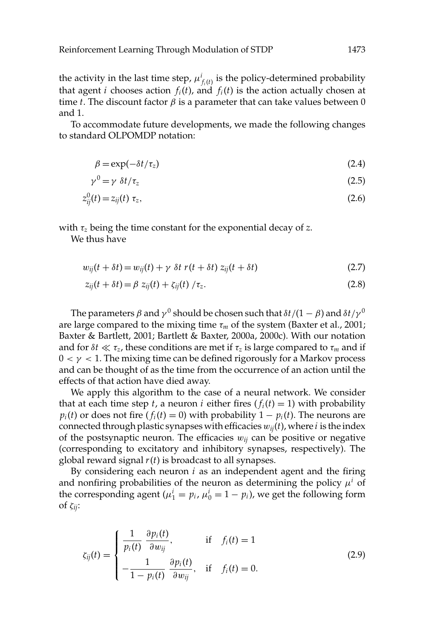the activity in the last time step,  $\mu_{f_i(t)}^i$  is the policy-determined probability that agent *i* chooses action  $f_i(t)$ , and  $f_i(t)$  is the action actually chosen at time *t*. The discount factor  $\beta$  is a parameter that can take values between 0 and 1.

To accommodate future developments, we made the following changes to standard OLPOMDP notation:

$$
\beta = \exp(-\delta t/\tau_z) \tag{2.4}
$$

$$
\gamma^0 = \gamma \ \delta t / \tau_z \tag{2.5}
$$

$$
z_{ij}^0(t) = z_{ij}(t) \ \tau_z,\tag{2.6}
$$

with τ*<sup>z</sup>* being the time constant for the exponential decay of *z*.

We thus have

$$
w_{ij}(t + \delta t) = w_{ij}(t) + \gamma \, \delta t \, r(t + \delta t) \, z_{ij}(t + \delta t) \tag{2.7}
$$

$$
z_{ij}(t + \delta t) = \beta z_{ij}(t) + \zeta_{ij}(t) / \tau_z.
$$
\n(2.8)

The parameters  $\beta$  and  $\gamma^0$  should be chosen such that  $\delta t/(1 - \beta)$  and  $\delta t/\gamma^0$ are large compared to the mixing time  $\tau_m$  of the system (Baxter et al., 2001; Baxter & Bartlett, 2001; Bartlett & Baxter, 2000a, 2000c). With our notation and for  $\delta t \ll \tau_z$ , these conditions are met if  $\tau_z$  is large compared to  $\tau_m$  and if  $0 < \gamma < 1$ . The mixing time can be defined rigorously for a Markov process and can be thought of as the time from the occurrence of an action until the effects of that action have died away.

We apply this algorithm to the case of a neural network. We consider that at each time step *t*, a neuron *i* either fires  $(f_i(t) = 1)$  with probability  $p_i(t)$  or does not fire  $(f_i(t) = 0)$  with probability  $1 - p_i(t)$ . The neurons are connected through plastic synapses with efficacies  $w_{ij}(t)$ , where *i* is the index of the postsynaptic neuron. The efficacies  $w_{ij}$  can be positive or negative (corresponding to excitatory and inhibitory synapses, respectively). The global reward signal *r*(*t*) is broadcast to all synapses.

By considering each neuron *i* as an independent agent and the firing and nonfiring probabilities of the neuron as determining the policy  $\mu^i$  of the corresponding agent ( $\mu_1^i = p_i$ ,  $\mu_0^i = 1 - p_i$ ), we get the following form of ζ*ij*:

$$
\zeta_{ij}(t) = \begin{cases}\n\frac{1}{p_i(t)} \frac{\partial p_i(t)}{\partial w_{ij}}, & \text{if } f_i(t) = 1 \\
-\frac{1}{1 - p_i(t)} \frac{\partial p_i(t)}{\partial w_{ij}}, & \text{if } f_i(t) = 0.\n\end{cases}
$$
\n(2.9)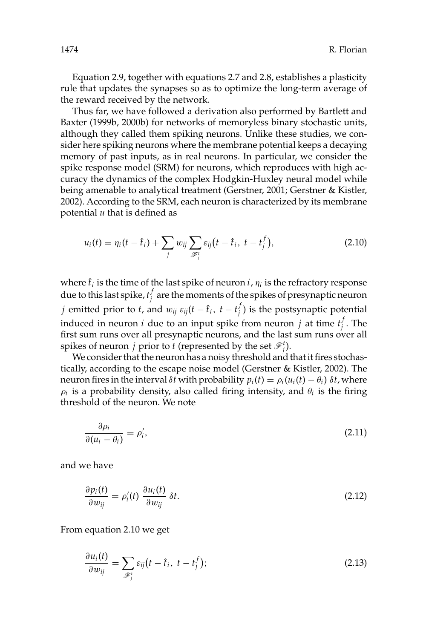Equation 2.9, together with equations 2.7 and 2.8, establishes a plasticity rule that updates the synapses so as to optimize the long-term average of the reward received by the network.

Thus far, we have followed a derivation also performed by Bartlett and Baxter (1999b, 2000b) for networks of memoryless binary stochastic units, although they called them spiking neurons. Unlike these studies, we consider here spiking neurons where the membrane potential keeps a decaying memory of past inputs, as in real neurons. In particular, we consider the spike response model (SRM) for neurons, which reproduces with high accuracy the dynamics of the complex Hodgkin-Huxley neural model while being amenable to analytical treatment (Gerstner, 2001; Gerstner & Kistler, 2002). According to the SRM, each neuron is characterized by its membrane potential *u* that is defined as

$$
u_i(t) = \eta_i(t - \hat{t}_i) + \sum_j w_{ij} \sum_{\mathscr{F}_j^i} \varepsilon_{ij}(t - \hat{t}_i, t - t_j^f), \qquad (2.10)
$$

where  $\hat{t}_i$  is the time of the last spike of neuron *i*,  $\eta_i$  is the refractory response due to this last spike,  $t_j^f$  are the moments of the spikes of presynaptic neuron *j* emitted prior to *t*, and  $w_{ij} \varepsilon_{ij} (t - \hat{t}_i, t - t_j^f)$  is the postsynaptic potential induced in neuron *i* due to an input spike from neuron *j* at time  $t_j^f$ . The first sum runs over all presynaptic neurons, and the last sum runs over all spikes of neuron *j* prior to *t* (represented by the set  $\mathscr{F}_j^t$ ).

We consider that the neuron has a noisy threshold and that it fires stochastically, according to the escape noise model (Gerstner & Kistler, 2002). The neuron fires in the interval *δt* with probability  $p_i(t) = \rho_i(u_i(t) - \theta_i) \delta t$ , where  $\rho_i$  is a probability density, also called firing intensity, and  $\theta_i$  is the firing threshold of the neuron. We note

$$
\frac{\partial \rho_i}{\partial (u_i - \theta_i)} = \rho'_i,\tag{2.11}
$$

and we have

$$
\frac{\partial p_i(t)}{\partial w_{ij}} = \rho'_i(t) \frac{\partial u_i(t)}{\partial w_{ij}} \delta t.
$$
\n(2.12)

From equation 2.10 we get

$$
\frac{\partial u_i(t)}{\partial w_{ij}} = \sum_{\mathcal{F}_j^t} \varepsilon_{ij} \left( t - \hat{t}_i, \ t - t_j^f \right); \tag{2.13}
$$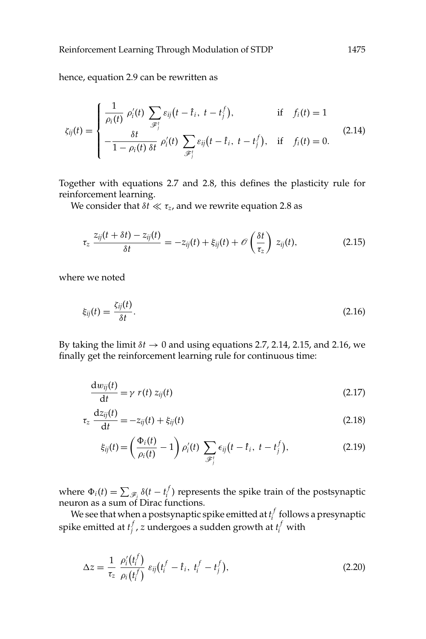hence, equation 2.9 can be rewritten as

$$
\zeta_{ij}(t) = \begin{cases}\n\frac{1}{\rho_i(t)} \rho'_i(t) \sum_{\mathcal{F}_j^t} \varepsilon_{ij}(t - \hat{t}_i, t - t_j^f), & \text{if } f_i(t) = 1 \\
-\frac{\delta t}{1 - \rho_i(t) \delta t} \rho'_i(t) \sum_{\mathcal{F}_j^t} \varepsilon_{ij}(t - \hat{t}_i, t - t_j^f), & \text{if } f_i(t) = 0.\n\end{cases}
$$
\n(2.14)

Together with equations 2.7 and 2.8, this defines the plasticity rule for reinforcement learning.

We consider that  $\delta t \ll \tau_z$ , and we rewrite equation 2.8 as

$$
\tau_z \frac{z_{ij}(t+\delta t)-z_{ij}(t)}{\delta t}=-z_{ij}(t)+\xi_{ij}(t)+\mathscr{O}\left(\frac{\delta t}{\tau_z}\right) z_{ij}(t), \qquad (2.15)
$$

where we noted

$$
\xi_{ij}(t) = \frac{\zeta_{ij}(t)}{\delta t}.
$$
\n(2.16)

By taking the limit  $\delta t \rightarrow 0$  and using equations 2.7, 2.14, 2.15, and 2.16, we finally get the reinforcement learning rule for continuous time:

$$
\frac{\mathrm{d}w_{ij}(t)}{\mathrm{d}t} = \gamma \ r(t) \ z_{ij}(t) \tag{2.17}
$$

$$
\tau_z \frac{\mathrm{d}z_{ij}(t)}{\mathrm{d}t} = -z_{ij}(t) + \xi_{ij}(t) \tag{2.18}
$$

$$
\xi_{ij}(t) = \left(\frac{\Phi_i(t)}{\rho_i(t)} - 1\right) \rho'_i(t) \sum_{\mathscr{F}_j^i} \epsilon_{ij}\left(t - \hat{t}_i, t - t_j^f\right),\tag{2.19}
$$

where  $\Phi_i(t) = \sum_{\mathscr{F}_i} \delta(t - t_i^f)$  represents the spike train of the postsynaptic neuron as a sum of Dirac functions.

We see that when a postsynaptic spike emitted at  $t_i^f$  follows a presynaptic spike emitted at  $t_j^f$  ,  $z$  undergoes a sudden growth at  $t_i^f$  with

$$
\Delta z = \frac{1}{\tau_z} \frac{\rho_i'(t_i^f)}{\rho_i(t_i^f)} \varepsilon_{ij}(t_i^f - \hat{t}_i, t_i^f - t_j^f), \tag{2.20}
$$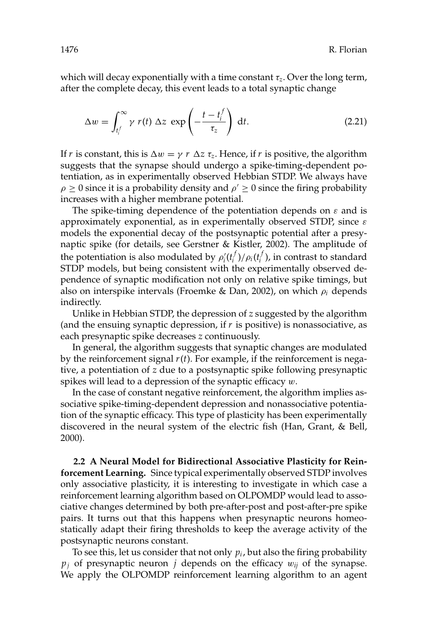which will decay exponentially with a time constant τ*z*. Over the long term, after the complete decay, this event leads to a total synaptic change

$$
\Delta w = \int_{t_i^f}^{\infty} \gamma \ r(t) \ \Delta z \ \exp\left(-\frac{t - t_i^f}{\tau_z}\right) \ \mathrm{d}t. \tag{2.21}
$$

If *r* is constant, this is  $\Delta w = \gamma r \Delta z \tau_z$ . Hence, if *r* is positive, the algorithm suggests that the synapse should undergo a spike-timing-dependent potentiation, as in experimentally observed Hebbian STDP. We always have  $\rho \geq 0$  since it is a probability density and  $\rho' \geq 0$  since the firing probability increases with a higher membrane potential.

The spike-timing dependence of the potentiation depends on  $\varepsilon$  and is approximately exponential, as in experimentally observed STDP, since  $\varepsilon$ models the exponential decay of the postsynaptic potential after a presynaptic spike (for details, see Gerstner & Kistler, 2002). The amplitude of the potentiation is also modulated by  $\rho'_i(t_i^f)/\rho_i(t_i^f)$ , in contrast to standard STDP models, but being consistent with the experimentally observed dependence of synaptic modification not only on relative spike timings, but also on interspike intervals (Froemke & Dan, 2002), on which ρ*<sup>i</sup>* depends indirectly.

Unlike in Hebbian STDP, the depression of *z* suggested by the algorithm (and the ensuing synaptic depression, if *r* is positive) is nonassociative, as each presynaptic spike decreases *z* continuously.

In general, the algorithm suggests that synaptic changes are modulated by the reinforcement signal *r*(*t*). For example, if the reinforcement is negative, a potentiation of *z* due to a postsynaptic spike following presynaptic spikes will lead to a depression of the synaptic efficacy w.

In the case of constant negative reinforcement, the algorithm implies associative spike-timing-dependent depression and nonassociative potentiation of the synaptic efficacy. This type of plasticity has been experimentally discovered in the neural system of the electric fish (Han, Grant, & Bell, 2000).

**2.2 A Neural Model for Bidirectional Associative Plasticity for Reinforcement Learning.** Since typical experimentally observed STDP involves only associative plasticity, it is interesting to investigate in which case a reinforcement learning algorithm based on OLPOMDP would lead to associative changes determined by both pre-after-post and post-after-pre spike pairs. It turns out that this happens when presynaptic neurons homeostatically adapt their firing thresholds to keep the average activity of the postsynaptic neurons constant.

To see this, let us consider that not only  $p_i$ , but also the firing probability  $p_j$  of presynaptic neuron *j* depends on the efficacy  $w_{ij}$  of the synapse. We apply the OLPOMDP reinforcement learning algorithm to an agent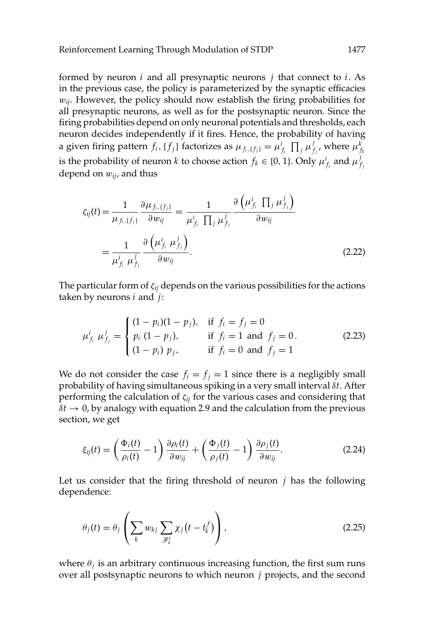formed by neuron *i* and all presynaptic neurons *j* that connect to *i*. As in the previous case, the policy is parameterized by the synaptic efficacies  $w_{ij}$ . However, the policy should now establish the firing probabilities for all presynaptic neurons, as well as for the postsynaptic neuron. Since the firing probabilities depend on only neuronal potentials and thresholds, each neuron decides independently if it fires. Hence, the probability of having a given firing pattern  $f_i$ ,  $\{f_j\}$  factorizes as  $\mu_{f_i, \{f_j\}} = \mu_{f_i}^i \prod_j \mu_{f_j}^j$ , where  $\mu_{f_k}^k$ is the probability of neuron *k* to choose action  $f_k \in \{0, 1\}$ . Only  $\mu_{f_i}^i$  and  $\mu_{f_j}^j$ depend on w*ij*, and thus

$$
\zeta_{ij}(t) = \frac{1}{\mu_{f_i, \{f_j\}}} \frac{\partial \mu_{f_i, \{f_j\}}}{\partial w_{ij}} = \frac{1}{\mu_{f_i}^i \prod_j \mu_{f_j}^j} \frac{\partial \left(\mu_{f_i}^i \prod_j \mu_{f_j}^j\right)}{\partial w_{ij}}
$$

$$
= \frac{1}{\mu_{f_i}^i \mu_{f_j}^j} \frac{\partial \left(\mu_{f_i}^i \mu_{f_j}^j\right)}{\partial w_{ij}}.
$$
(2.22)

The particular form of ζ*ij* depends on the various possibilities for the actions taken by neurons *i* and *j*:

$$
\mu_{f_i}^i \mu_{f_j}^j = \begin{cases}\n(1 - p_i)(1 - p_j), & \text{if } f_i = f_j = 0 \\
p_i (1 - p_j), & \text{if } f_i = 1 \text{ and } f_j = 0. \\
(1 - p_i) p_j, & \text{if } f_i = 0 \text{ and } f_j = 1\n\end{cases}
$$
\n(2.23)

We do not consider the case  $f_i = f_j = 1$  since there is a negligibly small probability of having simultaneous spiking in a very small interval δ*t*. After performing the calculation of ζ*ij* for the various cases and considering that  $\delta t \rightarrow 0$ , by analogy with equation 2.9 and the calculation from the previous section, we get

$$
\xi_{ij}(t) = \left(\frac{\Phi_i(t)}{\rho_i(t)} - 1\right) \frac{\partial \rho_i(t)}{\partial w_{ij}} + \left(\frac{\Phi_j(t)}{\rho_j(t)} - 1\right) \frac{\partial \rho_j(t)}{\partial w_{ij}}.
$$
\n(2.24)

Let us consider that the firing threshold of neuron *j* has the following dependence:

$$
\theta_j(t) = \theta_j \left( \sum_k w_{kj} \sum_{\mathcal{F}_k^t} \chi_j\big(t - t_k^f\big) \right),\tag{2.25}
$$

where  $\theta_i$  is an arbitrary continuous increasing function, the first sum runs over all postsynaptic neurons to which neuron *j* projects, and the second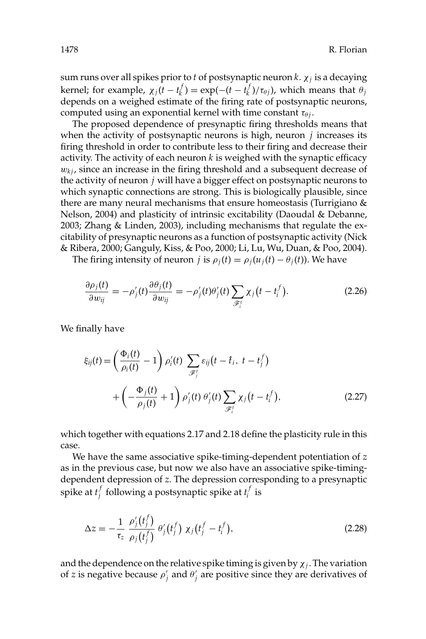sum runs over all spikes prior to *t* of postsynaptic neuron *k*. χ*<sup>j</sup>* is a decaying kernel; for example,  $\chi_j(t - t_k^f) = \exp(-(t - t_k^f)/\tau_{\theta_j})$ , which means that  $\theta_j$ depends on a weighed estimate of the firing rate of postsynaptic neurons, computed using an exponential kernel with time constant  $\tau_{\theta i}$ .

The proposed dependence of presynaptic firing thresholds means that when the activity of postsynaptic neurons is high, neuron *j* increases its firing threshold in order to contribute less to their firing and decrease their activity. The activity of each neuron *k* is weighed with the synaptic efficacy  $w_{kj}$ , since an increase in the firing threshold and a subsequent decrease of the activity of neuron *j* will have a bigger effect on postsynaptic neurons to which synaptic connections are strong. This is biologically plausible, since there are many neural mechanisms that ensure homeostasis (Turrigiano & Nelson, 2004) and plasticity of intrinsic excitability (Daoudal & Debanne, 2003; Zhang & Linden, 2003), including mechanisms that regulate the excitability of presynaptic neurons as a function of postsynaptic activity (Nick & Ribera, 2000; Ganguly, Kiss, & Poo, 2000; Li, Lu, Wu, Duan, & Poo, 2004).

The firing intensity of neuron *j* is  $\rho_i(t) = \rho_i(u_i(t) - \theta_i(t))$ . We have

$$
\frac{\partial \rho_j(t)}{\partial w_{ij}} = -\rho'_j(t) \frac{\partial \theta_j(t)}{\partial w_{ij}} = -\rho'_j(t) \theta'_j(t) \sum_{\mathcal{F}_i^t} \chi_j\big(t - t_i^f\big). \tag{2.26}
$$

We finally have

$$
\xi_{ij}(t) = \left(\frac{\Phi_i(t)}{\rho_i(t)} - 1\right) \rho'_i(t) \sum_{\mathscr{F}_j^t} \varepsilon_{ij}\left(t - \hat{t}_i, t - t_j^f\right) + \left(-\frac{\Phi_j(t)}{\rho_j(t)} + 1\right) \rho'_j(t) \theta'_j(t) \sum_{\mathscr{F}_i^t} \chi_j\left(t - t_i^f\right),
$$
\n(2.27)

which together with equations 2.17 and 2.18 define the plasticity rule in this case.

We have the same associative spike-timing-dependent potentiation of *z* as in the previous case, but now we also have an associative spike-timingdependent depression of *z*. The depression corresponding to a presynaptic spike at  $t_j^f$  following a postsynaptic spike at  $t_i^f$  is

$$
\Delta z = -\frac{1}{\tau_z} \frac{\rho'_j(t_j^f)}{\rho_j(t_j^f)} \theta'_j(t_j^f) \chi_j(t_j^f - t_i^f), \qquad (2.28)
$$

and the dependence on the relative spike timing is given by  $\chi_i$ . The variation of *z* is negative because  $\rho'_j$  and  $\theta'_j$  are positive since they are derivatives of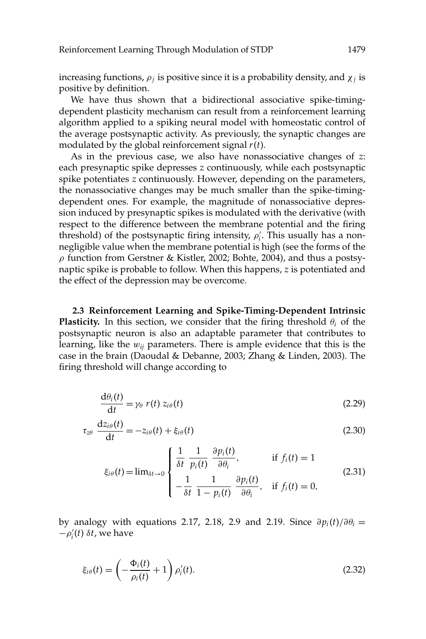increasing functions,  $\rho_i$  is positive since it is a probability density, and  $\chi_i$  is positive by definition.

We have thus shown that a bidirectional associative spike-timingdependent plasticity mechanism can result from a reinforcement learning algorithm applied to a spiking neural model with homeostatic control of the average postsynaptic activity. As previously, the synaptic changes are modulated by the global reinforcement signal *r*(*t*).

As in the previous case, we also have nonassociative changes of *z*: each presynaptic spike depresses *z* continuously, while each postsynaptic spike potentiates *z* continuously. However, depending on the parameters, the nonassociative changes may be much smaller than the spike-timingdependent ones. For example, the magnitude of nonassociative depression induced by presynaptic spikes is modulated with the derivative (with respect to the difference between the membrane potential and the firing threshold) of the postsynaptic firing intensity,  $\rho'_i$ . This usually has a nonnegligible value when the membrane potential is high (see the forms of the  $\rho$  function from Gerstner & Kistler, 2002; Bohte, 2004), and thus a postsynaptic spike is probable to follow. When this happens, *z* is potentiated and the effect of the depression may be overcome.

**2.3 Reinforcement Learning and Spike-Timing-Dependent Intrinsic Plasticity.** In this section, we consider that the firing threshold  $\theta_i$  of the postsynaptic neuron is also an adaptable parameter that contributes to learning, like the w*ij* parameters. There is ample evidence that this is the case in the brain (Daoudal & Debanne, 2003; Zhang & Linden, 2003). The firing threshold will change according to

$$
\frac{\mathrm{d}\theta_i(t)}{\mathrm{d}t} = \gamma_\theta \; r(t) \; z_{i\theta}(t) \tag{2.29}
$$

$$
\tau_{z\theta} \frac{\mathrm{d}z_{i\theta}(t)}{\mathrm{d}t} = -z_{i\theta}(t) + \xi_{i\theta}(t) \tag{2.30}
$$

$$
\xi_{i\theta}(t) = \lim_{\delta t \to 0} \begin{cases} \frac{1}{\delta t} \frac{1}{p_i(t)} \frac{\partial p_i(t)}{\partial \theta_i}, & \text{if } f_i(t) = 1\\ -\frac{1}{\delta t} \frac{1}{1 - p_i(t)} \frac{\partial p_i(t)}{\partial \theta_i}, & \text{if } f_i(t) = 0, \end{cases}
$$
(2.31)

by analogy with equations 2.17, 2.18, 2.9 and 2.19. Since  $\partial p_i(t)/\partial \theta_i =$  $-\rho_i'(t)$  *δt*, we have

$$
\xi_{i\theta}(t) = \left(-\frac{\Phi_i(t)}{\rho_i(t)} + 1\right)\rho'_i(t). \tag{2.32}
$$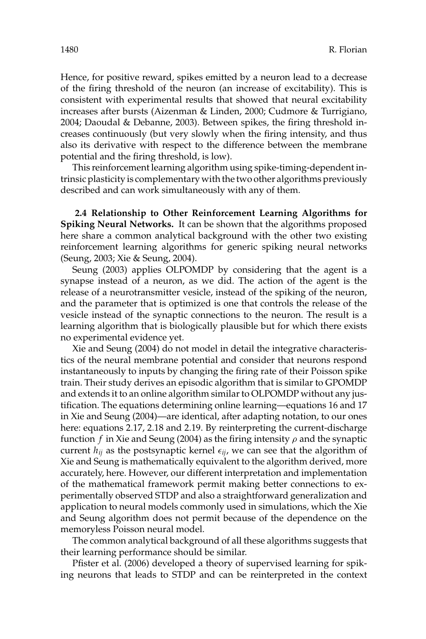Hence, for positive reward, spikes emitted by a neuron lead to a decrease of the firing threshold of the neuron (an increase of excitability). This is consistent with experimental results that showed that neural excitability increases after bursts (Aizenman & Linden, 2000; Cudmore & Turrigiano, 2004; Daoudal & Debanne, 2003). Between spikes, the firing threshold increases continuously (but very slowly when the firing intensity, and thus also its derivative with respect to the difference between the membrane potential and the firing threshold, is low).

This reinforcement learning algorithm using spike-timing-dependent intrinsic plasticity is complementary with the two other algorithms previously described and can work simultaneously with any of them.

**2.4 Relationship to Other Reinforcement Learning Algorithms for Spiking Neural Networks.** It can be shown that the algorithms proposed here share a common analytical background with the other two existing reinforcement learning algorithms for generic spiking neural networks (Seung, 2003; Xie & Seung, 2004).

Seung (2003) applies OLPOMDP by considering that the agent is a synapse instead of a neuron, as we did. The action of the agent is the release of a neurotransmitter vesicle, instead of the spiking of the neuron, and the parameter that is optimized is one that controls the release of the vesicle instead of the synaptic connections to the neuron. The result is a learning algorithm that is biologically plausible but for which there exists no experimental evidence yet.

Xie and Seung (2004) do not model in detail the integrative characteristics of the neural membrane potential and consider that neurons respond instantaneously to inputs by changing the firing rate of their Poisson spike train. Their study derives an episodic algorithm that is similar to GPOMDP and extends it to an online algorithm similar to OLPOMDP without any justification. The equations determining online learning—equations 16 and 17 in Xie and Seung (2004)—are identical, after adapting notation, to our ones here: equations 2.17, 2.18 and 2.19. By reinterpreting the current-discharge function  $f$  in Xie and Seung (2004) as the firing intensity  $\rho$  and the synaptic current  $h_{ij}$  as the postsynaptic kernel  $\epsilon_{ij}$ , we can see that the algorithm of Xie and Seung is mathematically equivalent to the algorithm derived, more accurately, here. However, our different interpretation and implementation of the mathematical framework permit making better connections to experimentally observed STDP and also a straightforward generalization and application to neural models commonly used in simulations, which the Xie and Seung algorithm does not permit because of the dependence on the memoryless Poisson neural model.

The common analytical background of all these algorithms suggests that their learning performance should be similar.

Pfister et al. (2006) developed a theory of supervised learning for spiking neurons that leads to STDP and can be reinterpreted in the context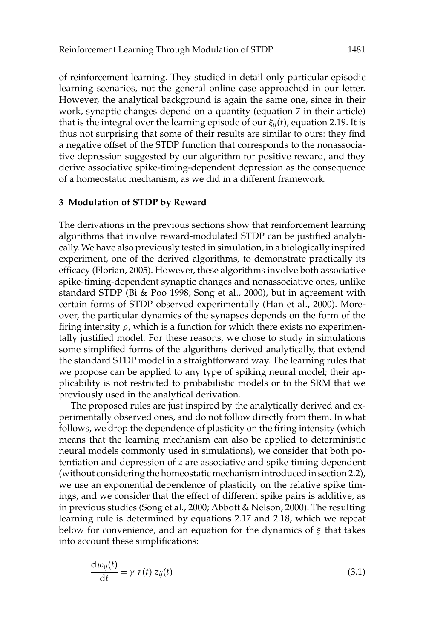of reinforcement learning. They studied in detail only particular episodic learning scenarios, not the general online case approached in our letter. However, the analytical background is again the same one, since in their work, synaptic changes depend on a quantity (equation 7 in their article) that is the integral over the learning episode of our ξ*ij*(*t*), equation 2.19. It is thus not surprising that some of their results are similar to ours: they find a negative offset of the STDP function that corresponds to the nonassociative depression suggested by our algorithm for positive reward, and they derive associative spike-timing-dependent depression as the consequence of a homeostatic mechanism, as we did in a different framework.

# **3 Modulation of STDP by Reward**

The derivations in the previous sections show that reinforcement learning algorithms that involve reward-modulated STDP can be justified analytically. We have also previously tested in simulation, in a biologically inspired experiment, one of the derived algorithms, to demonstrate practically its efficacy (Florian, 2005). However, these algorithms involve both associative spike-timing-dependent synaptic changes and nonassociative ones, unlike standard STDP (Bi & Poo 1998; Song et al., 2000), but in agreement with certain forms of STDP observed experimentally (Han et al., 2000). Moreover, the particular dynamics of the synapses depends on the form of the firing intensity  $\rho$ , which is a function for which there exists no experimentally justified model. For these reasons, we chose to study in simulations some simplified forms of the algorithms derived analytically, that extend the standard STDP model in a straightforward way. The learning rules that we propose can be applied to any type of spiking neural model; their applicability is not restricted to probabilistic models or to the SRM that we previously used in the analytical derivation.

The proposed rules are just inspired by the analytically derived and experimentally observed ones, and do not follow directly from them. In what follows, we drop the dependence of plasticity on the firing intensity (which means that the learning mechanism can also be applied to deterministic neural models commonly used in simulations), we consider that both potentiation and depression of *z* are associative and spike timing dependent (without considering the homeostatic mechanism introduced in section 2.2), we use an exponential dependence of plasticity on the relative spike timings, and we consider that the effect of different spike pairs is additive, as in previous studies (Song et al., 2000; Abbott & Nelson, 2000). The resulting learning rule is determined by equations 2.17 and 2.18, which we repeat below for convenience, and an equation for the dynamics of  $\xi$  that takes into account these simplifications:

$$
\frac{\mathrm{d}w_{ij}(t)}{\mathrm{d}t} = \gamma \ r(t) \ z_{ij}(t) \tag{3.1}
$$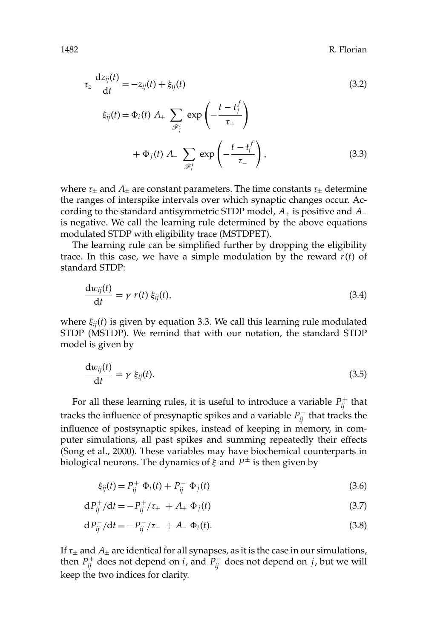1482 R. Florian

$$
\tau_z \frac{dz_{ij}(t)}{dt} = -z_{ij}(t) + \xi_{ij}(t)
$$
\n
$$
\xi_{ij}(t) = \Phi_i(t) A_+ \sum_{\mathcal{F}_j^t} \exp\left(-\frac{t - t_j^f}{\tau_+}\right)
$$
\n
$$
+ \Phi_j(t) A_- \sum_{\mathcal{F}_i^t} \exp\left(-\frac{t - t_i^f}{\tau_-}\right),
$$
\n(3.3)

where  $\tau_{\pm}$  and  $A_{\pm}$  are constant parameters. The time constants  $\tau_{\pm}$  determine the ranges of interspike intervals over which synaptic changes occur. According to the standard antisymmetric STDP model, *A*<sup>+</sup> is positive and *A*<sup>−</sup> is negative. We call the learning rule determined by the above equations modulated STDP with eligibility trace (MSTDPET).

The learning rule can be simplified further by dropping the eligibility trace. In this case, we have a simple modulation by the reward  $r(t)$  of standard STDP:

$$
\frac{\mathrm{d}w_{ij}(t)}{\mathrm{d}t} = \gamma \; r(t) \; \xi_{ij}(t), \tag{3.4}
$$

where  $\xi_{ii}(t)$  is given by equation 3.3. We call this learning rule modulated STDP (MSTDP). We remind that with our notation, the standard STDP model is given by

$$
\frac{\mathrm{d}w_{ij}(t)}{\mathrm{d}t} = \gamma \ \xi_{ij}(t). \tag{3.5}
$$

For all these learning rules, it is useful to introduce a variable  $P_{ij}^+$  that tracks the influence of presynaptic spikes and a variable *P*<sup>−</sup> *ij* that tracks the influence of postsynaptic spikes, instead of keeping in memory, in computer simulations, all past spikes and summing repeatedly their effects (Song et al., 2000). These variables may have biochemical counterparts in biological neurons. The dynamics of  $\xi$  and  $P^{\pm}$  is then given by

$$
\xi_{ij}(t) = P_{ij}^+ \Phi_i(t) + P_{ij}^- \Phi_j(t)
$$
\n(3.6)

$$
dP_{ij}^{+}/dt = -P_{ij}^{+}/\tau_{+} + A_{+} \Phi_{j}(t)
$$
\n(3.7)

$$
dP_{ij}^-/dt = -P_{ij}^-/\tau_- + A_-\Phi_i(t). \tag{3.8}
$$

If  $\tau_{\pm}$  and  $A_{\pm}$  are identical for all synapses, as it is the case in our simulations, then  $P_{ij}^+$  does not depend on *i*, and  $P_{ij}^-$  does not depend on *j*, but we will keep the two indices for clarity.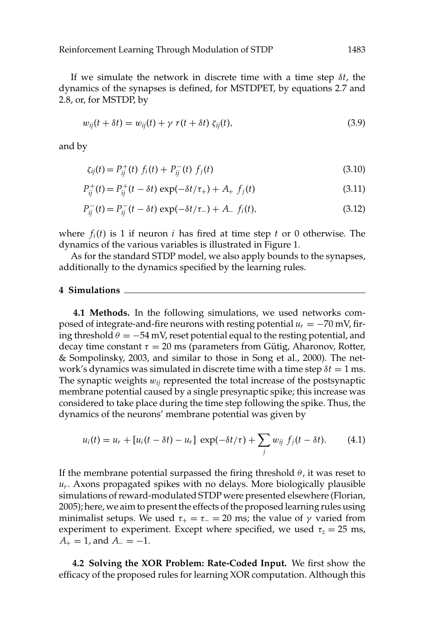If we simulate the network in discrete time with a time step δ*t*, the dynamics of the synapses is defined, for MSTDPET, by equations 2.7 and 2.8, or, for MSTDP, by

$$
w_{ij}(t + \delta t) = w_{ij}(t) + \gamma r(t + \delta t) \zeta_{ij}(t), \qquad (3.9)
$$

and by

$$
\zeta_{ij}(t) = P_{ij}^{+}(t) f_i(t) + P_{ij}^{-}(t) f_j(t)
$$
\n(3.10)

$$
P_{ij}^{+}(t) = P_{ij}^{+}(t - \delta t) \exp(-\delta t/\tau_{+}) + A_{+} f_{j}(t)
$$
\n(3.11)

$$
P_{ij}^{-}(t) = P_{ij}^{-}(t - \delta t) \exp(-\delta t/\tau_{-}) + A_{-} f_{i}(t), \qquad (3.12)
$$

where  $f_i(t)$  is 1 if neuron *i* has fired at time step *t* or 0 otherwise. The dynamics of the various variables is illustrated in Figure 1.

As for the standard STDP model, we also apply bounds to the synapses, additionally to the dynamics specified by the learning rules.

#### **4 Simulations**

**4.1 Methods.** In the following simulations, we used networks composed of integrate-and-fire neurons with resting potential  $u_r = -70$  mV, firing threshold  $\theta = -54$  mV, reset potential equal to the resting potential, and decay time constant  $\tau = 20$  ms (parameters from Gütig, Aharonov, Rotter, & Sompolinsky, 2003, and similar to those in Song et al., 2000). The network's dynamics was simulated in discrete time with a time step  $\delta t = 1$  ms. The synaptic weights w*ij* represented the total increase of the postsynaptic membrane potential caused by a single presynaptic spike; this increase was considered to take place during the time step following the spike. Thus, the dynamics of the neurons' membrane potential was given by

$$
u_i(t) = u_r + [u_i(t - \delta t) - u_r] \exp(-\delta t/\tau) + \sum_j w_{ij} f_j(t - \delta t). \tag{4.1}
$$

If the membrane potential surpassed the firing threshold  $\theta$ , it was reset to  $u_r$ . Axons propagated spikes with no delays. More biologically plausible simulations of reward-modulated STDP were presented elsewhere (Florian, 2005); here, we aim to present the effects of the proposed learning rules using minimalist setups. We used  $\tau_{+} = \tau_{-} = 20$  ms; the value of  $\gamma$  varied from experiment to experiment. Except where specified, we used  $\tau_z = 25$  ms,  $A_+ = 1$ , and  $A_- = -1$ .

**4.2 Solving the XOR Problem: Rate-Coded Input.** We first show the efficacy of the proposed rules for learning XOR computation. Although this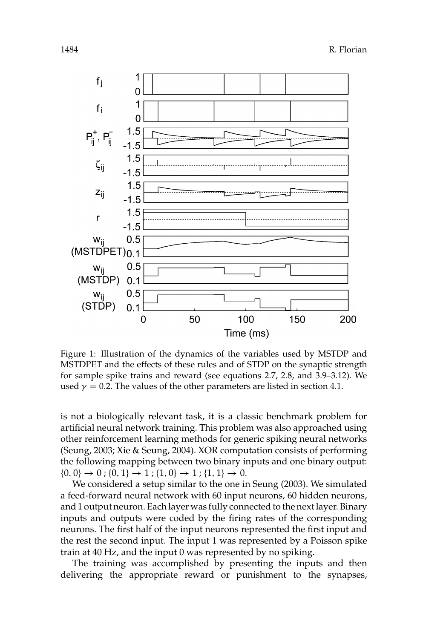

Figure 1: Illustration of the dynamics of the variables used by MSTDP and MSTDPET and the effects of these rules and of STDP on the synaptic strength for sample spike trains and reward (see equations 2.7, 2.8, and 3.9–3.12). We used  $\gamma = 0.2$ . The values of the other parameters are listed in section 4.1.

is not a biologically relevant task, it is a classic benchmark problem for artificial neural network training. This problem was also approached using other reinforcement learning methods for generic spiking neural networks (Seung, 2003; Xie & Seung, 2004). XOR computation consists of performing the following mapping between two binary inputs and one binary output:  $\{0, 0\} \rightarrow 0$ ;  $\{0, 1\} \rightarrow 1$ ;  $\{1, 0\} \rightarrow 1$ ;  $\{1, 1\} \rightarrow 0$ .

We considered a setup similar to the one in Seung (2003). We simulated a feed-forward neural network with 60 input neurons, 60 hidden neurons, and 1 output neuron. Each layer was fully connected to the next layer. Binary inputs and outputs were coded by the firing rates of the corresponding neurons. The first half of the input neurons represented the first input and the rest the second input. The input 1 was represented by a Poisson spike train at 40 Hz, and the input 0 was represented by no spiking.

The training was accomplished by presenting the inputs and then delivering the appropriate reward or punishment to the synapses,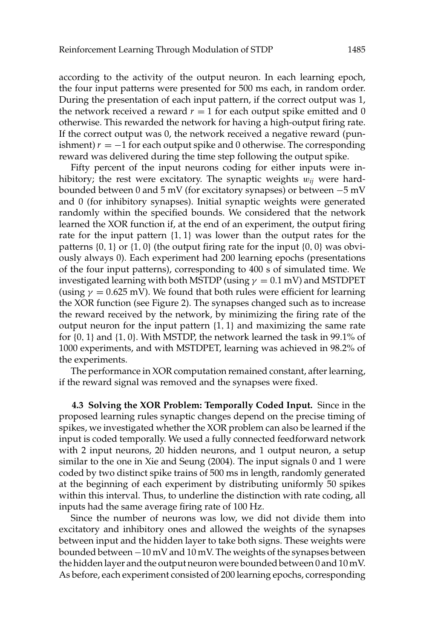according to the activity of the output neuron. In each learning epoch, the four input patterns were presented for 500 ms each, in random order. During the presentation of each input pattern, if the correct output was 1, the network received a reward  $r = 1$  for each output spike emitted and 0 otherwise. This rewarded the network for having a high-output firing rate. If the correct output was 0, the network received a negative reward (punishment)  $r = -1$  for each output spike and 0 otherwise. The corresponding reward was delivered during the time step following the output spike.

Fifty percent of the input neurons coding for either inputs were inhibitory; the rest were excitatory. The synaptic weights  $w_{ij}$  were hardbounded between 0 and 5 mV (for excitatory synapses) or between −5 mV and 0 (for inhibitory synapses). Initial synaptic weights were generated randomly within the specified bounds. We considered that the network learned the XOR function if, at the end of an experiment, the output firing rate for the input pattern {1, 1} was lower than the output rates for the patterns  $\{0, 1\}$  or  $\{1, 0\}$  (the output firing rate for the input  $\{0, 0\}$  was obviously always 0). Each experiment had 200 learning epochs (presentations of the four input patterns), corresponding to 400 s of simulated time. We investigated learning with both MSTDP (using  $\gamma = 0.1$  mV) and MSTDPET (using  $\gamma = 0.625$  mV). We found that both rules were efficient for learning the XOR function (see Figure 2). The synapses changed such as to increase the reward received by the network, by minimizing the firing rate of the output neuron for the input pattern {1, 1} and maximizing the same rate for {0, 1} and {1, 0}. With MSTDP, the network learned the task in 99.1% of 1000 experiments, and with MSTDPET, learning was achieved in 98.2% of the experiments.

The performance in XOR computation remained constant, after learning, if the reward signal was removed and the synapses were fixed.

**4.3 Solving the XOR Problem: Temporally Coded Input.** Since in the proposed learning rules synaptic changes depend on the precise timing of spikes, we investigated whether the XOR problem can also be learned if the input is coded temporally. We used a fully connected feedforward network with 2 input neurons, 20 hidden neurons, and 1 output neuron, a setup similar to the one in Xie and Seung (2004). The input signals 0 and 1 were coded by two distinct spike trains of 500 ms in length, randomly generated at the beginning of each experiment by distributing uniformly 50 spikes within this interval. Thus, to underline the distinction with rate coding, all inputs had the same average firing rate of 100 Hz.

Since the number of neurons was low, we did not divide them into excitatory and inhibitory ones and allowed the weights of the synapses between input and the hidden layer to take both signs. These weights were bounded between −10 mV and 10 mV. The weights of the synapses between the hidden layer and the output neuron were bounded between 0 and 10 mV. As before, each experiment consisted of 200 learning epochs, corresponding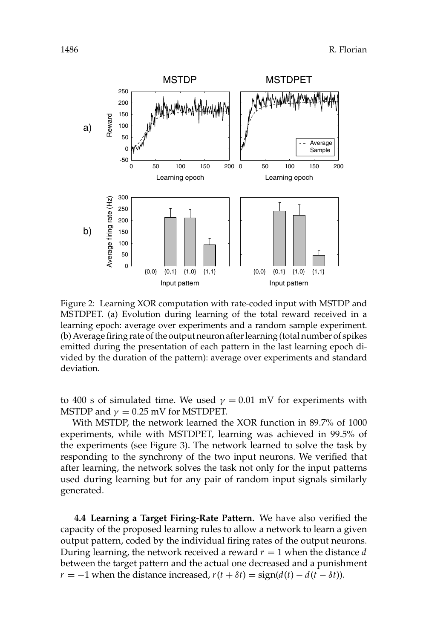

Figure 2: Learning XOR computation with rate-coded input with MSTDP and MSTDPET. (a) Evolution during learning of the total reward received in a learning epoch: average over experiments and a random sample experiment. (b) Average firing rate of the output neuron after learning (total number of spikes emitted during the presentation of each pattern in the last learning epoch divided by the duration of the pattern): average over experiments and standard deviation.

to 400 s of simulated time. We used  $\gamma = 0.01$  mV for experiments with MSTDP and  $\gamma = 0.25$  mV for MSTDPET.

With MSTDP, the network learned the XOR function in 89.7% of 1000 experiments, while with MSTDPET, learning was achieved in 99.5% of the experiments (see Figure 3). The network learned to solve the task by responding to the synchrony of the two input neurons. We verified that after learning, the network solves the task not only for the input patterns used during learning but for any pair of random input signals similarly generated.

**4.4 Learning a Target Firing-Rate Pattern.** We have also verified the capacity of the proposed learning rules to allow a network to learn a given output pattern, coded by the individual firing rates of the output neurons. During learning, the network received a reward  $r = 1$  when the distance  $d$ between the target pattern and the actual one decreased and a punishment *r* = −1 when the distance increased,  $r(t + \delta t) = sign(d(t) - d(t - \delta t))$ .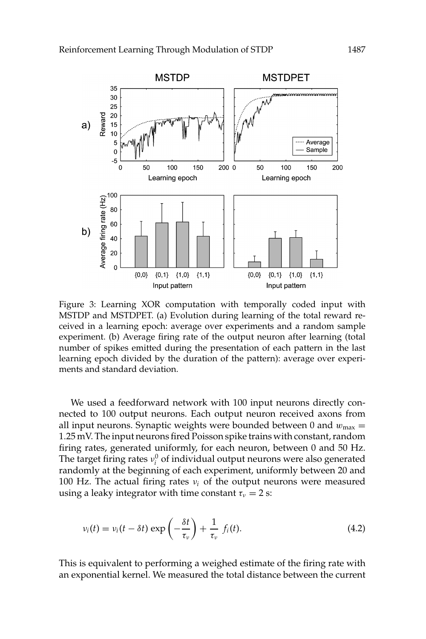

Figure 3: Learning XOR computation with temporally coded input with MSTDP and MSTDPET. (a) Evolution during learning of the total reward received in a learning epoch: average over experiments and a random sample experiment. (b) Average firing rate of the output neuron after learning (total number of spikes emitted during the presentation of each pattern in the last learning epoch divided by the duration of the pattern): average over experiments and standard deviation.

We used a feedforward network with 100 input neurons directly connected to 100 output neurons. Each output neuron received axons from all input neurons. Synaptic weights were bounded between 0 and  $w_{\text{max}} =$ 1.25 mV. The input neurons fired Poisson spike trains with constant, random firing rates, generated uniformly, for each neuron, between 0 and 50 Hz. The target firing rates  $v_i^0$  of individual output neurons were also generated randomly at the beginning of each experiment, uniformly between 20 and 100 Hz. The actual firing rates  $v_i$  of the output neurons were measured using a leaky integrator with time constant  $\tau_{\nu} = 2$  s:

$$
v_i(t) = v_i(t - \delta t) \exp\left(-\frac{\delta t}{\tau_v}\right) + \frac{1}{\tau_v} f_i(t).
$$
 (4.2)

This is equivalent to performing a weighed estimate of the firing rate with an exponential kernel. We measured the total distance between the current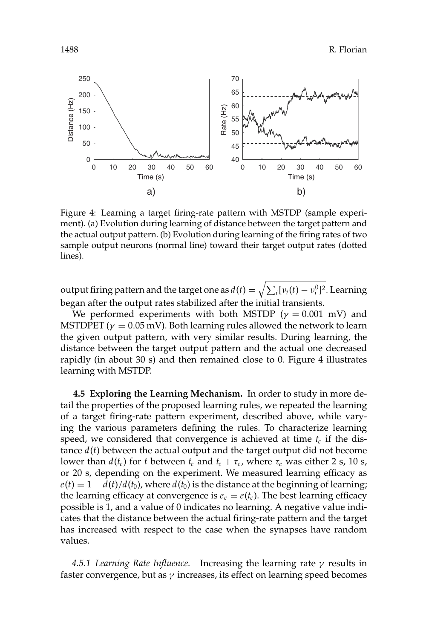

Figure 4: Learning a target firing-rate pattern with MSTDP (sample experiment). (a) Evolution during learning of distance between the target pattern and the actual output pattern. (b) Evolution during learning of the firing rates of two sample output neurons (normal line) toward their target output rates (dotted lines).

output firing pattern and the target one as  $d(t) = \sqrt{\sum_i [v_i(t) - v_i^0]^2}$ . Learning began after the output rates stabilized after the initial transients.

We performed experiments with both MSTDP ( $\gamma = 0.001$  mV) and MSTDPET ( $\gamma = 0.05$  mV). Both learning rules allowed the network to learn the given output pattern, with very similar results. During learning, the distance between the target output pattern and the actual one decreased rapidly (in about 30 s) and then remained close to 0. Figure 4 illustrates learning with MSTDP.

**4.5 Exploring the Learning Mechanism.** In order to study in more detail the properties of the proposed learning rules, we repeated the learning of a target firing-rate pattern experiment, described above, while varying the various parameters defining the rules. To characterize learning speed, we considered that convergence is achieved at time  $t_c$  if the distance *d*(*t*) between the actual output and the target output did not become lower than  $d(t_c)$  for *t* between  $t_c$  and  $t_c + \tau_c$ , where  $\tau_c$  was either 2 s, 10 s, or 20 s, depending on the experiment. We measured learning efficacy as  $e(t) = 1 - d(t)/d(t_0)$ , where  $d(t_0)$  is the distance at the beginning of learning; the learning efficacy at convergence is  $e_c = e(t_c)$ . The best learning efficacy possible is 1, and a value of 0 indicates no learning. A negative value indicates that the distance between the actual firing-rate pattern and the target has increased with respect to the case when the synapses have random values.

*4.5.1 Learning Rate Influence.* Increasing the learning rate γ results in faster convergence, but as  $\gamma$  increases, its effect on learning speed becomes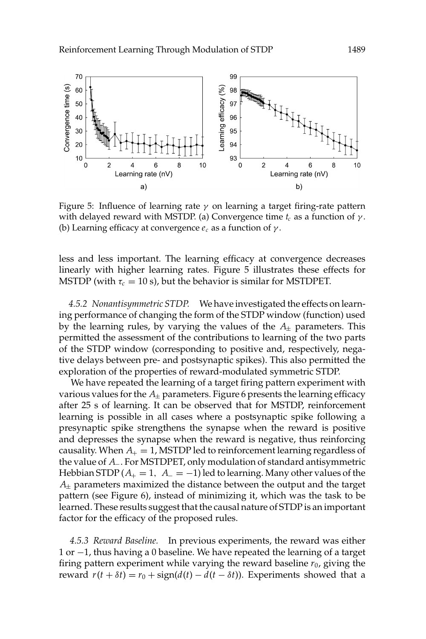

Figure 5: Influence of learning rate  $\gamma$  on learning a target firing-rate pattern with delayed reward with MSTDP. (a) Convergence time  $t_c$  as a function of  $\gamma$ . (b) Learning efficacy at convergence  $e_c$  as a function of  $\gamma$ .

less and less important. The learning efficacy at convergence decreases linearly with higher learning rates. Figure 5 illustrates these effects for MSTDP (with  $\tau_c = 10$  s), but the behavior is similar for MSTDPET.

*4.5.2 Nonantisymmetric STDP.* We have investigated the effects on learning performance of changing the form of the STDP window (function) used by the learning rules, by varying the values of the  $A_{\pm}$  parameters. This permitted the assessment of the contributions to learning of the two parts of the STDP window (corresponding to positive and, respectively, negative delays between pre- and postsynaptic spikes). This also permitted the exploration of the properties of reward-modulated symmetric STDP.

We have repeated the learning of a target firing pattern experiment with various values for the  $A_{\pm}$  parameters. Figure 6 presents the learning efficacy after 25 s of learning. It can be observed that for MSTDP, reinforcement learning is possible in all cases where a postsynaptic spike following a presynaptic spike strengthens the synapse when the reward is positive and depresses the synapse when the reward is negative, thus reinforcing causality. When  $A_+ = 1$ , MSTDP led to reinforcement learning regardless of the value of *A*−. For MSTDPET, only modulation of standard antisymmetric Hebbian STDP  $(A_{+} = 1, A_{-} = -1)$  led to learning. Many other values of the *A*<sup>±</sup> parameters maximized the distance between the output and the target pattern (see Figure 6), instead of minimizing it, which was the task to be learned. These results suggest that the causal nature of STDP is an important factor for the efficacy of the proposed rules.

*4.5.3 Reward Baseline.* In previous experiments, the reward was either 1 or −1, thus having a 0 baseline. We have repeated the learning of a target firing pattern experiment while varying the reward baseline *r*0, giving the reward  $r(t + \delta t) = r_0 + sign(d(t) - d(t - \delta t))$ . Experiments showed that a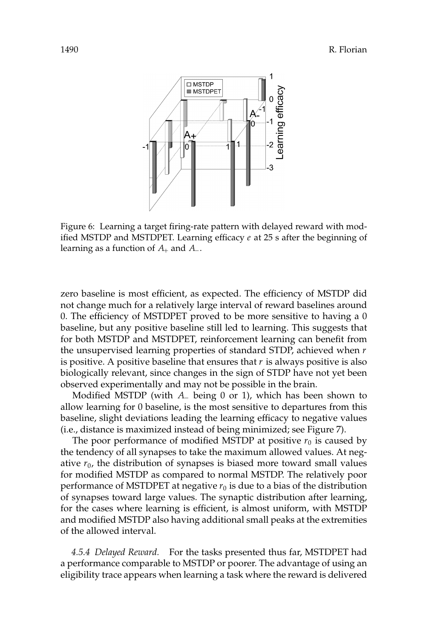### 1490 R. Florian



Figure 6: Learning a target firing-rate pattern with delayed reward with modified MSTDP and MSTDPET. Learning efficacy *e* at 25 s after the beginning of learning as a function of  $A_+$  and  $A_−$ .

zero baseline is most efficient, as expected. The efficiency of MSTDP did not change much for a relatively large interval of reward baselines around 0. The efficiency of MSTDPET proved to be more sensitive to having a 0 baseline, but any positive baseline still led to learning. This suggests that for both MSTDP and MSTDPET, reinforcement learning can benefit from the unsupervised learning properties of standard STDP, achieved when *r* is positive. A positive baseline that ensures that *r* is always positive is also biologically relevant, since changes in the sign of STDP have not yet been observed experimentally and may not be possible in the brain.

Modified MSTDP (with *A*<sup>−</sup> being 0 or 1), which has been shown to allow learning for 0 baseline, is the most sensitive to departures from this baseline, slight deviations leading the learning efficacy to negative values (i.e., distance is maximized instead of being minimized; see Figure 7).

The poor performance of modified MSTDP at positive  $r_0$  is caused by the tendency of all synapses to take the maximum allowed values. At negative  $r_0$ , the distribution of synapses is biased more toward small values for modified MSTDP as compared to normal MSTDP. The relatively poor performance of MSTDPET at negative  $r_0$  is due to a bias of the distribution of synapses toward large values. The synaptic distribution after learning, for the cases where learning is efficient, is almost uniform, with MSTDP and modified MSTDP also having additional small peaks at the extremities of the allowed interval.

*4.5.4 Delayed Reward.* For the tasks presented thus far, MSTDPET had a performance comparable to MSTDP or poorer. The advantage of using an eligibility trace appears when learning a task where the reward is delivered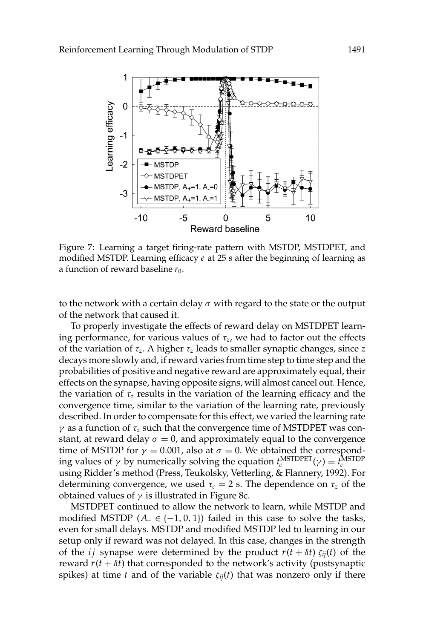

Figure 7: Learning a target firing-rate pattern with MSTDP, MSTDPET, and modified MSTDP. Learning efficacy *e* at 25 s after the beginning of learning as a function of reward baseline  $r_0$ .

to the network with a certain delay  $\sigma$  with regard to the state or the output of the network that caused it.

To properly investigate the effects of reward delay on MSTDPET learning performance, for various values of  $\tau_z$ , we had to factor out the effects of the variation of τ*z*. A higher τ*<sup>z</sup>* leads to smaller synaptic changes, since *z* decays more slowly and, if reward varies from time step to time step and the probabilities of positive and negative reward are approximately equal, their effects on the synapse, having opposite signs, will almost cancel out. Hence, the variation of  $\tau_z$  results in the variation of the learning efficacy and the convergence time, similar to the variation of the learning rate, previously described. In order to compensate for this effect, we varied the learning rate  $\gamma$  as a function of  $\tau$ <sub>z</sub> such that the convergence time of MSTDPET was constant, at reward delay  $\sigma = 0$ , and approximately equal to the convergence time of MSTDP for  $\gamma = 0.001$ , also at  $\sigma = 0$ . We obtained the corresponding values of  $\gamma$  by numerically solving the equation  $t_c^{\text{MSTDFET}}(\gamma) = t_c^{\text{MSTDP}}$ using Ridder's method (Press, Teukolsky, Vetterling, & Flannery, 1992). For determining convergence, we used  $\tau_c = 2$  s. The dependence on  $\tau_z$  of the obtained values of  $\gamma$  is illustrated in Figure 8c.

MSTDPET continued to allow the network to learn, while MSTDP and modified MSTDP  $(A_ \in \{-1, 0, 1\})$  failed in this case to solve the tasks, even for small delays. MSTDP and modified MSTDP led to learning in our setup only if reward was not delayed. In this case, changes in the strength of the *i j* synapse were determined by the product  $r(t + \delta t) \zeta_{ii}(t)$  of the reward  $r(t + \delta t)$  that corresponded to the network's activity (postsynaptic spikes) at time  $t$  and of the variable  $\zeta_{ij}(t)$  that was nonzero only if there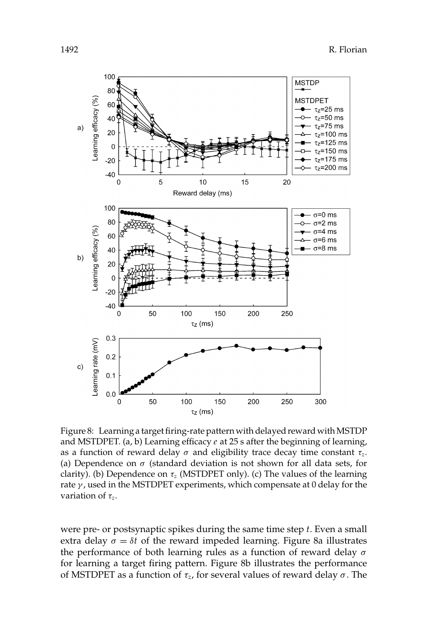

Figure 8: Learning a target firing-rate pattern with delayed reward with MSTDP and MSTDPET. (a, b) Learning efficacy *e* at 25 s after the beginning of learning, as a function of reward delay  $\sigma$  and eligibility trace decay time constant  $\tau_z$ . (a) Dependence on  $\sigma$  (standard deviation is not shown for all data sets, for clarity). (b) Dependence on  $\tau_z$  (MSTDPET only). (c) The values of the learning rate  $\gamma$ , used in the MSTDPET experiments, which compensate at 0 delay for the variation of τ*z*.

were pre- or postsynaptic spikes during the same time step *t*. Even a small extra delay  $\sigma = \delta t$  of the reward impeded learning. Figure 8a illustrates the performance of both learning rules as a function of reward delay  $\sigma$ for learning a target firing pattern. Figure 8b illustrates the performance of MSTDPET as a function of τ*z*, for several values of reward delay σ. The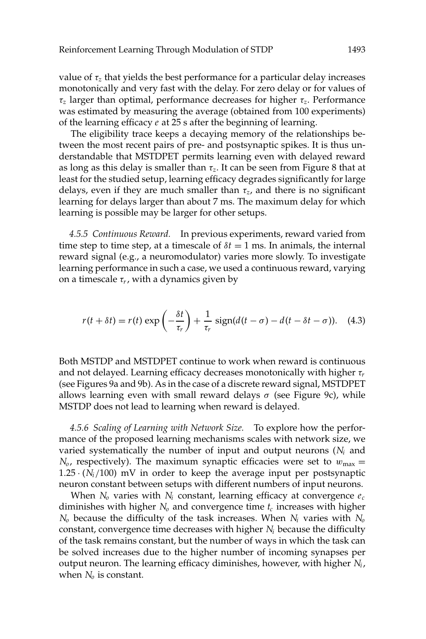value of  $\tau$ <sub>z</sub> that yields the best performance for a particular delay increases monotonically and very fast with the delay. For zero delay or for values of τ*<sup>z</sup>* larger than optimal, performance decreases for higher τ*z*. Performance was estimated by measuring the average (obtained from 100 experiments) of the learning efficacy *e* at 25 s after the beginning of learning.

The eligibility trace keeps a decaying memory of the relationships between the most recent pairs of pre- and postsynaptic spikes. It is thus understandable that MSTDPET permits learning even with delayed reward as long as this delay is smaller than  $\tau_z$ . It can be seen from Figure 8 that at least for the studied setup, learning efficacy degrades significantly for large delays, even if they are much smaller than  $\tau_z$ , and there is no significant learning for delays larger than about 7 ms. The maximum delay for which learning is possible may be larger for other setups.

*4.5.5 Continuous Reward.* In previous experiments, reward varied from time step to time step, at a timescale of  $\delta t = 1$  ms. In animals, the internal reward signal (e.g., a neuromodulator) varies more slowly. To investigate learning performance in such a case, we used a continuous reward, varying on a timescale  $\tau_r$ , with a dynamics given by

$$
r(t + \delta t) = r(t) \exp\left(-\frac{\delta t}{\tau_r}\right) + \frac{1}{\tau_r} \operatorname{sign}(d(t - \sigma) - d(t - \delta t - \sigma)). \tag{4.3}
$$

Both MSTDP and MSTDPET continue to work when reward is continuous and not delayed. Learning efficacy decreases monotonically with higher τ*<sup>r</sup>* (see Figures 9a and 9b). As in the case of a discrete reward signal, MSTDPET allows learning even with small reward delays  $\sigma$  (see Figure 9c), while MSTDP does not lead to learning when reward is delayed.

*4.5.6 Scaling of Learning with Network Size.* To explore how the performance of the proposed learning mechanisms scales with network size, we varied systematically the number of input and output neurons (*Ni* and  $N_{\varphi}$ , respectively). The maximum synaptic efficacies were set to  $w_{\text{max}} =$  $1.25 \cdot (N_i/100)$  mV in order to keep the average input per postsynaptic neuron constant between setups with different numbers of input neurons.

When  $N_0$  varies with  $N_i$  constant, learning efficacy at convergence  $e_c$ diminishes with higher  $N_0$  and convergence time  $t_c$  increases with higher *No* because the difficulty of the task increases. When *Ni* varies with *No* constant, convergence time decreases with higher *Ni* because the difficulty of the task remains constant, but the number of ways in which the task can be solved increases due to the higher number of incoming synapses per output neuron. The learning efficacy diminishes, however, with higher *Ni* , when  $N_0$  is constant.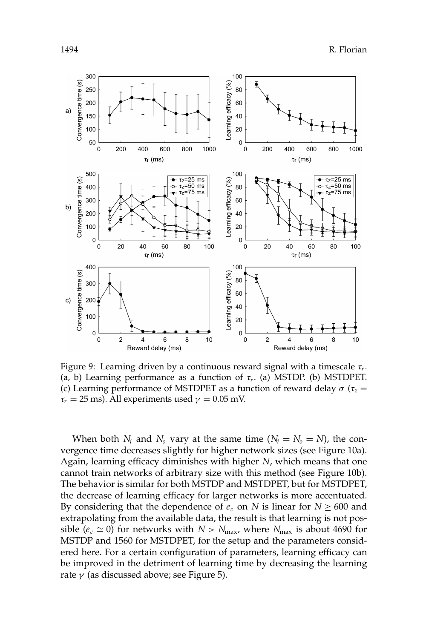

Figure 9: Learning driven by a continuous reward signal with a timescale τ*r*. (a, b) Learning performance as a function of  $\tau_r$ . (a) MSTDP. (b) MSTDPET. (c) Learning performance of MSTDPET as a function of reward delay  $\sigma$  ( $\tau$ <sub>z</sub> =  $\tau_r = 25$  ms). All experiments used  $\gamma = 0.05$  mV.

When both  $N_i$  and  $N_0$  vary at the same time  $(N_i = N_0 = N)$ , the convergence time decreases slightly for higher network sizes (see Figure 10a). Again, learning efficacy diminishes with higher *N*, which means that one cannot train networks of arbitrary size with this method (see Figure 10b). The behavior is similar for both MSTDP and MSTDPET, but for MSTDPET, the decrease of learning efficacy for larger networks is more accentuated. By considering that the dependence of  $e_c$  on *N* is linear for  $N \geq 600$  and extrapolating from the available data, the result is that learning is not possible ( $e_c \simeq 0$ ) for networks with  $N > N_{\text{max}}$ , where  $N_{\text{max}}$  is about 4690 for MSTDP and 1560 for MSTDPET, for the setup and the parameters considered here. For a certain configuration of parameters, learning efficacy can be improved in the detriment of learning time by decreasing the learning rate  $\gamma$  (as discussed above; see Figure 5).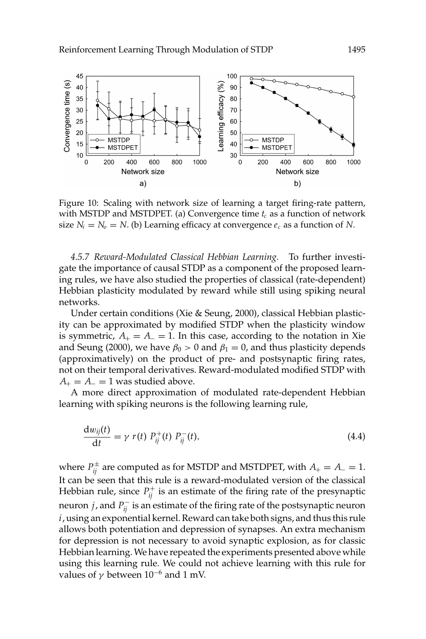

Figure 10: Scaling with network size of learning a target firing-rate pattern, with MSTDP and MSTDPET. (a) Convergence time  $t_c$  as a function of network size  $N_i = N_o = N$ . (b) Learning efficacy at convergence  $e_c$  as a function of N.

*4.5.7 Reward-Modulated Classical Hebbian Learning.* To further investigate the importance of causal STDP as a component of the proposed learning rules, we have also studied the properties of classical (rate-dependent) Hebbian plasticity modulated by reward while still using spiking neural networks.

Under certain conditions (Xie & Seung, 2000), classical Hebbian plasticity can be approximated by modified STDP when the plasticity window is symmetric,  $A_{+} = A_{-} = 1$ . In this case, according to the notation in Xie and Seung (2000), we have  $\beta_0 > 0$  and  $\beta_1 = 0$ , and thus plasticity depends (approximatively) on the product of pre- and postsynaptic firing rates, not on their temporal derivatives. Reward-modulated modified STDP with  $A_+ = A_- = 1$  was studied above.

A more direct approximation of modulated rate-dependent Hebbian learning with spiking neurons is the following learning rule,

$$
\frac{dw_{ij}(t)}{dt} = \gamma r(t) P_{ij}^{+}(t) P_{ij}^{-}(t), \qquad (4.4)
$$

where  $P_{ij}^{\pm}$  are computed as for MSTDP and MSTDPET, with  $A_+=A_-=1$ . It can be seen that this rule is a reward-modulated version of the classical Hebbian rule, since  $P_{ij}^+$  is an estimate of the firing rate of the presynaptic neuron *j*, and *P*<sup>−</sup> *ij* is an estimate of the firing rate of the postsynaptic neuron *i*, using an exponential kernel. Reward can take both signs, and thus this rule allows both potentiation and depression of synapses. An extra mechanism for depression is not necessary to avoid synaptic explosion, as for classic Hebbian learning. We have repeated the experiments presented above while using this learning rule. We could not achieve learning with this rule for values of  $\gamma$  between 10<sup>-6</sup> and 1 mV.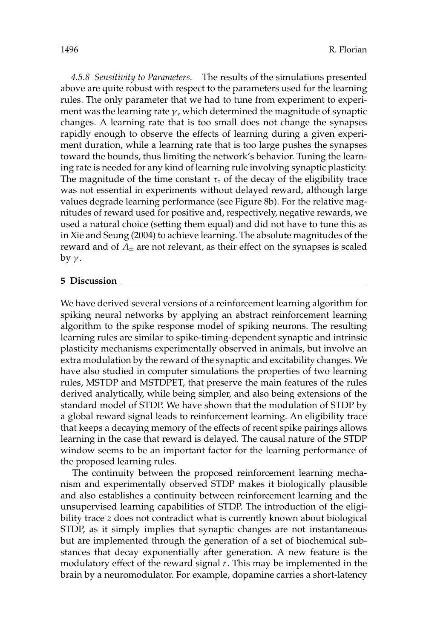*4.5.8 Sensitivity to Parameters.* The results of the simulations presented above are quite robust with respect to the parameters used for the learning rules. The only parameter that we had to tune from experiment to experiment was the learning rate  $\gamma$ , which determined the magnitude of synaptic changes. A learning rate that is too small does not change the synapses rapidly enough to observe the effects of learning during a given experiment duration, while a learning rate that is too large pushes the synapses toward the bounds, thus limiting the network's behavior. Tuning the learning rate is needed for any kind of learning rule involving synaptic plasticity. The magnitude of the time constant  $\tau_z$  of the decay of the eligibility trace was not essential in experiments without delayed reward, although large values degrade learning performance (see Figure 8b). For the relative magnitudes of reward used for positive and, respectively, negative rewards, we used a natural choice (setting them equal) and did not have to tune this as in Xie and Seung (2004) to achieve learning. The absolute magnitudes of the reward and of  $A_{\pm}$  are not relevant, as their effect on the synapses is scaled  $b$  γ.

# **5 Discussion**

We have derived several versions of a reinforcement learning algorithm for spiking neural networks by applying an abstract reinforcement learning algorithm to the spike response model of spiking neurons. The resulting learning rules are similar to spike-timing-dependent synaptic and intrinsic plasticity mechanisms experimentally observed in animals, but involve an extra modulation by the reward of the synaptic and excitability changes. We have also studied in computer simulations the properties of two learning rules, MSTDP and MSTDPET, that preserve the main features of the rules derived analytically, while being simpler, and also being extensions of the standard model of STDP. We have shown that the modulation of STDP by a global reward signal leads to reinforcement learning. An eligibility trace that keeps a decaying memory of the effects of recent spike pairings allows learning in the case that reward is delayed. The causal nature of the STDP window seems to be an important factor for the learning performance of the proposed learning rules.

The continuity between the proposed reinforcement learning mechanism and experimentally observed STDP makes it biologically plausible and also establishes a continuity between reinforcement learning and the unsupervised learning capabilities of STDP. The introduction of the eligibility trace *z* does not contradict what is currently known about biological STDP, as it simply implies that synaptic changes are not instantaneous but are implemented through the generation of a set of biochemical substances that decay exponentially after generation. A new feature is the modulatory effect of the reward signal *r*. This may be implemented in the brain by a neuromodulator. For example, dopamine carries a short-latency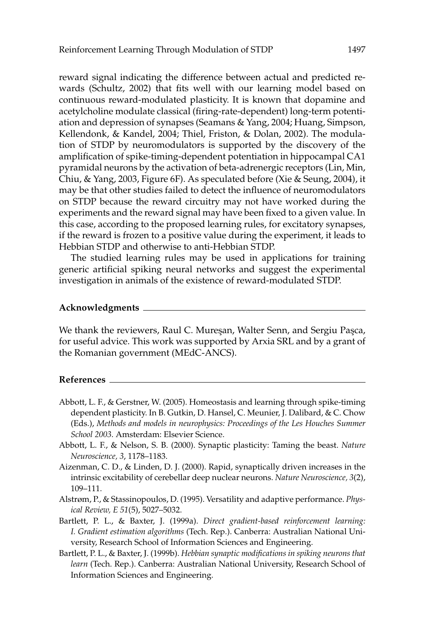reward signal indicating the difference between actual and predicted rewards (Schultz, 2002) that fits well with our learning model based on continuous reward-modulated plasticity. It is known that dopamine and acetylcholine modulate classical (firing-rate-dependent) long-term potentiation and depression of synapses (Seamans & Yang, 2004; Huang, Simpson, Kellendonk, & Kandel, 2004; Thiel, Friston, & Dolan, 2002). The modulation of STDP by neuromodulators is supported by the discovery of the amplification of spike-timing-dependent potentiation in hippocampal CA1 pyramidal neurons by the activation of beta-adrenergic receptors (Lin, Min, Chiu, & Yang, 2003, Figure 6F). As speculated before (Xie & Seung, 2004), it may be that other studies failed to detect the influence of neuromodulators on STDP because the reward circuitry may not have worked during the experiments and the reward signal may have been fixed to a given value. In this case, according to the proposed learning rules, for excitatory synapses, if the reward is frozen to a positive value during the experiment, it leads to Hebbian STDP and otherwise to anti-Hebbian STDP.

The studied learning rules may be used in applications for training generic artificial spiking neural networks and suggest the experimental investigation in animals of the existence of reward-modulated STDP.

### **Acknowledgments**

We thank the reviewers, Raul C. Mureşan, Walter Senn, and Sergiu Paşca, for useful advice. This work was supported by Arxia SRL and by a grant of the Romanian government (MEdC-ANCS).

## **References**

- Abbott, L. F., & Gerstner, W. (2005). Homeostasis and learning through spike-timing dependent plasticity. In B. Gutkin, D. Hansel, C. Meunier, J. Dalibard, & C. Chow (Eds.), *Methods and models in neurophysics: Proceedings of the Les Houches Summer School 2003*. Amsterdam: Elsevier Science.
- Abbott, L. F., & Nelson, S. B. (2000). Synaptic plasticity: Taming the beast. *Nature Neuroscience, 3*, 1178–1183.
- Aizenman, C. D., & Linden, D. J. (2000). Rapid, synaptically driven increases in the intrinsic excitability of cerebellar deep nuclear neurons. *Nature Neuroscience, 3*(2), 109–111.
- Alstrøm, P., & Stassinopoulos, D. (1995). Versatility and adaptive performance. *Physical Review, E 51*(5), 5027–5032.
- Bartlett, P. L., & Baxter, J. (1999a). *Direct gradient-based reinforcement learning: I. Gradient estimation algorithms* (Tech. Rep.). Canberra: Australian National University, Research School of Information Sciences and Engineering.
- Bartlett, P. L., & Baxter, J. (1999b). *Hebbian synaptic modifications in spiking neurons that learn* (Tech. Rep.). Canberra: Australian National University, Research School of Information Sciences and Engineering.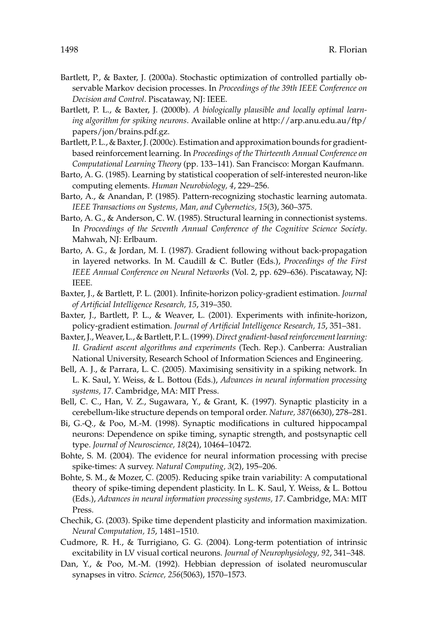- Bartlett, P., & Baxter, J. (2000a). Stochastic optimization of controlled partially observable Markov decision processes. In *Proceedings of the 39th IEEE Conference on Decision and Control*. Piscataway, NJ: IEEE.
- Bartlett, P. L., & Baxter, J. (2000b). *A biologically plausible and locally optimal learning algorithm for spiking neurons*. Available online at http://arp.anu.edu.au/ftp/ papers/jon/brains.pdf.gz.
- Bartlett, P. L., & Baxter, J. (2000c). Estimation and approximation bounds for gradientbased reinforcement learning. In *Proceedings of the Thirteenth Annual Conference on Computational Learning Theory* (pp. 133–141). San Francisco: Morgan Kaufmann.
- Barto, A. G. (1985). Learning by statistical cooperation of self-interested neuron-like computing elements. *Human Neurobiology, 4*, 229–256.
- Barto, A., & Anandan, P. (1985). Pattern-recognizing stochastic learning automata. *IEEE Transactions on Systems, Man, and Cybernetics, 15*(3), 360–375.
- Barto, A. G., & Anderson, C. W. (1985). Structural learning in connectionist systems. In *Proceedings of the Seventh Annual Conference of the Cognitive Science Society*. Mahwah, NJ: Erlbaum.
- Barto, A. G., & Jordan, M. I. (1987). Gradient following without back-propagation in layered networks. In M. Caudill & C. Butler (Eds.), *Proceedings of the First IEEE Annual Conference on Neural Networks* (Vol. 2, pp. 629–636). Piscataway, NJ: IEEE.
- Baxter, J., & Bartlett, P. L. (2001). Infinite-horizon policy-gradient estimation. *Journal of Artificial Intelligence Research, 15*, 319–350.
- Baxter, J., Bartlett, P. L., & Weaver, L. (2001). Experiments with infinite-horizon, policy-gradient estimation. *Journal of Artificial Intelligence Research, 15*, 351–381.
- Baxter, J., Weaver, L., & Bartlett, P. L. (1999).*Direct gradient-based reinforcement learning: II. Gradient ascent algorithms and experiments* (Tech. Rep.). Canberra: Australian National University, Research School of Information Sciences and Engineering.
- Bell, A. J., & Parrara, L. C. (2005). Maximising sensitivity in a spiking network. In L. K. Saul, Y. Weiss, & L. Bottou (Eds.), *Advances in neural information processing systems, 17*. Cambridge, MA: MIT Press.
- Bell, C. C., Han, V. Z., Sugawara, Y., & Grant, K. (1997). Synaptic plasticity in a cerebellum-like structure depends on temporal order. *Nature, 387*(6630), 278–281.
- Bi, G.-Q., & Poo, M.-M. (1998). Synaptic modifications in cultured hippocampal neurons: Dependence on spike timing, synaptic strength, and postsynaptic cell type. *Journal of Neuroscience, 18*(24), 10464–10472.
- Bohte, S. M. (2004). The evidence for neural information processing with precise spike-times: A survey. *Natural Computing, 3*(2), 195–206.
- Bohte, S. M., & Mozer, C. (2005). Reducing spike train variability: A computational theory of spike-timing dependent plasticity. In L. K. Saul, Y. Weiss, & L. Bottou (Eds.), *Advances in neural information processing systems, 17*. Cambridge, MA: MIT Press.
- Chechik, G. (2003). Spike time dependent plasticity and information maximization. *Neural Computation, 15*, 1481–1510.
- Cudmore, R. H., & Turrigiano, G. G. (2004). Long-term potentiation of intrinsic excitability in LV visual cortical neurons. *Journal of Neurophysiology, 92*, 341–348.
- Dan, Y., & Poo, M.-M. (1992). Hebbian depression of isolated neuromuscular synapses in vitro. *Science, 256*(5063), 1570–1573.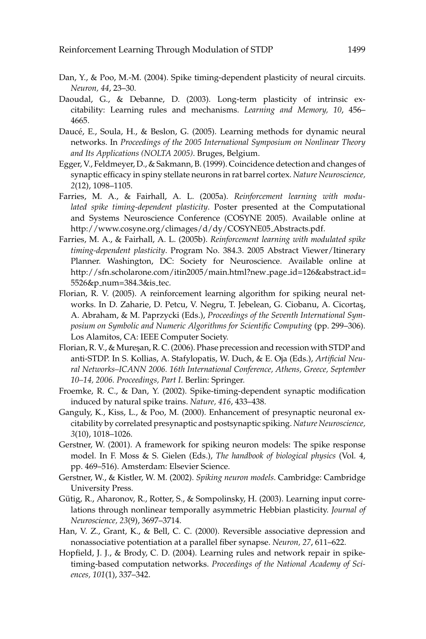- Dan, Y., & Poo, M.-M. (2004). Spike timing-dependent plasticity of neural circuits. *Neuron, 44*, 23–30.
- Daoudal, G., & Debanne, D. (2003). Long-term plasticity of intrinsic excitability: Learning rules and mechanisms. *Learning and Memory, 10*, 456– 4665.
- Dauce, E., Soula, H., & Beslon, G. (2005). Learning methods for dynamic neural ´ networks. In *Proceedings of the 2005 International Symposium on Nonlinear Theory and Its Applications (NOLTA 2005)*. Bruges, Belgium.
- Egger, V., Feldmeyer, D., & Sakmann, B. (1999). Coincidence detection and changes of synaptic efficacy in spiny stellate neurons in rat barrel cortex. *Nature Neuroscience, 2*(12), 1098–1105.
- Farries, M. A., & Fairhall, A. L. (2005a). *Reinforcement learning with modulated spike timing-dependent plasticity*. Poster presented at the Computational and Systems Neuroscience Conference (COSYNE 2005). Available online at http://www.cosyne.org/climages/d/dy/COSYNE05 Abstracts.pdf.
- Farries, M. A., & Fairhall, A. L. (2005b). *Reinforcement learning with modulated spike timing-dependent plasticity*. Program No. 384.3. 2005 Abstract Viewer/Itinerary Planner. Washington, DC: Society for Neuroscience. Available online at http://sfn.scholarone.com/itin2005/main.html?new page id=126&abstract id= 5526&p num=384.3&is tec.
- Florian, R. V. (2005). A reinforcement learning algorithm for spiking neural networks. In D. Zaharie, D. Petcu, V. Negru, T. Jebelean, G. Ciobanu, A. Cicortas¸, A. Abraham, & M. Paprzycki (Eds.), *Proceedings of the Seventh International Symposium on Symbolic and Numeric Algorithms for Scientific Computing* (pp. 299–306). Los Alamitos, CA: IEEE Computer Society.
- Florian, R. V., & Muresan, R. C. (2006). Phase precession and recession with STDP and anti-STDP. In S. Kollias, A. Stafylopatis, W. Duch, & E. Oja (Eds.), *Artificial Neural Networks–ICANN 2006. 16th International Conference, Athens, Greece, September 10–14, 2006. Proceedings, Part I*. Berlin: Springer.
- Froemke, R. C., & Dan, Y. (2002). Spike-timing-dependent synaptic modification induced by natural spike trains. *Nature, 416*, 433–438.
- Ganguly, K., Kiss, L., & Poo, M. (2000). Enhancement of presynaptic neuronal excitability by correlated presynaptic and postsynaptic spiking. *Nature Neuroscience, 3*(10), 1018–1026.
- Gerstner, W. (2001). A framework for spiking neuron models: The spike response model. In F. Moss & S. Gielen (Eds.), *The handbook of biological physics* (Vol. 4, pp. 469–516). Amsterdam: Elsevier Science.
- Gerstner, W., & Kistler, W. M. (2002). *Spiking neuron models*. Cambridge: Cambridge University Press.
- Gütig, R., Aharonov, R., Rotter, S., & Sompolinsky, H. (2003). Learning input correlations through nonlinear temporally asymmetric Hebbian plasticity. *Journal of Neuroscience, 23*(9), 3697–3714.
- Han, V. Z., Grant, K., & Bell, C. C. (2000). Reversible associative depression and nonassociative potentiation at a parallel fiber synapse. *Neuron, 27*, 611–622.
- Hopfield, J. J., & Brody, C. D. (2004). Learning rules and network repair in spiketiming-based computation networks. *Proceedings of the National Academy of Sciences, 101*(1), 337–342.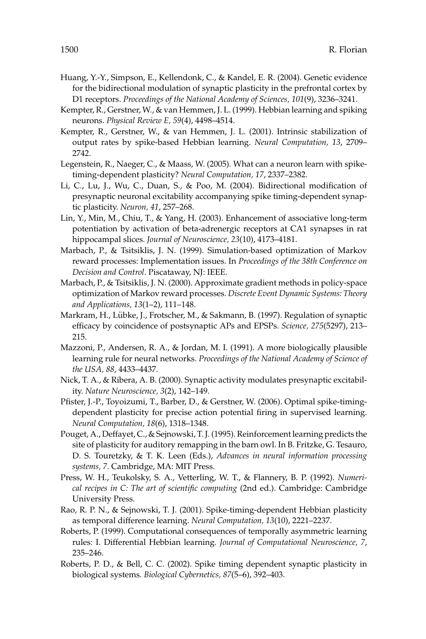- Huang, Y.-Y., Simpson, E., Kellendonk, C., & Kandel, E. R. (2004). Genetic evidence for the bidirectional modulation of synaptic plasticity in the prefrontal cortex by D1 receptors. *Proceedings of the National Academy of Sciences, 101*(9), 3236–3241.
- Kempter, R., Gerstner, W., & van Hemmen, J. L. (1999). Hebbian learning and spiking neurons. *Physical Review E, 59*(4), 4498–4514.
- Kempter, R., Gerstner, W., & van Hemmen, J. L. (2001). Intrinsic stabilization of output rates by spike-based Hebbian learning. *Neural Computation, 13*, 2709– 2742.
- Legenstein, R., Naeger, C., & Maass, W. (2005). What can a neuron learn with spiketiming-dependent plasticity? *Neural Computation, 17*, 2337–2382.
- Li, C., Lu, J., Wu, C., Duan, S., & Poo, M. (2004). Bidirectional modification of presynaptic neuronal excitability accompanying spike timing-dependent synaptic plasticity. *Neuron, 41*, 257–268.
- Lin, Y., Min, M., Chiu, T., & Yang, H. (2003). Enhancement of associative long-term potentiation by activation of beta-adrenergic receptors at CA1 synapses in rat hippocampal slices. *Journal of Neuroscience, 23*(10), 4173–4181.
- Marbach, P., & Tsitsiklis, J. N. (1999). Simulation-based optimization of Markov reward processes: Implementation issues. In *Proceedings of the 38th Conference on Decision and Control*. Piscataway, NJ: IEEE.
- Marbach, P., & Tsitsiklis, J. N. (2000). Approximate gradient methods in policy-space optimization of Markov reward processes. *Discrete Event Dynamic Systems: Theory and Applications, 13*(1–2), 111–148.
- Markram, H., Lübke, J., Frotscher, M., & Sakmann, B. (1997). Regulation of synaptic efficacy by coincidence of postsynaptic APs and EPSPs. *Science, 275*(5297), 213– 215.
- Mazzoni, P., Andersen, R. A., & Jordan, M. I. (1991). A more biologically plausible learning rule for neural networks. *Proceedings of the National Academy of Science of the USA, 88*, 4433–4437.
- Nick, T. A., & Ribera, A. B. (2000). Synaptic activity modulates presynaptic excitability. *Nature Neuroscience, 3*(2), 142–149.
- Pfister, J.-P., Toyoizumi, T., Barber, D., & Gerstner, W. (2006). Optimal spike-timingdependent plasticity for precise action potential firing in supervised learning. *Neural Computation, 18*(6), 1318–1348.
- Pouget, A., Deffayet, C., & Sejnowski, T. J. (1995). Reinforcement learning predicts the site of plasticity for auditory remapping in the barn owl. In B. Fritzke, G. Tesauro, D. S. Touretzky, & T. K. Leen (Eds.), *Advances in neural information processing systems, 7*. Cambridge, MA: MIT Press.
- Press, W. H., Teukolsky, S. A., Vetterling, W. T., & Flannery, B. P. (1992). *Numerical recipes in C: The art of scientific computing* (2nd ed.). Cambridge: Cambridge University Press.
- Rao, R. P. N., & Sejnowski, T. J. (2001). Spike-timing-dependent Hebbian plasticity as temporal difference learning. *Neural Computation, 13*(10), 2221–2237.
- Roberts, P. (1999). Computational consequences of temporally asymmetric learning rules: I. Differential Hebbian learning. *Journal of Computational Neuroscience, 7*, 235–246.
- Roberts, P. D., & Bell, C. C. (2002). Spike timing dependent synaptic plasticity in biological systems. *Biological Cybernetics, 87*(5–6), 392–403.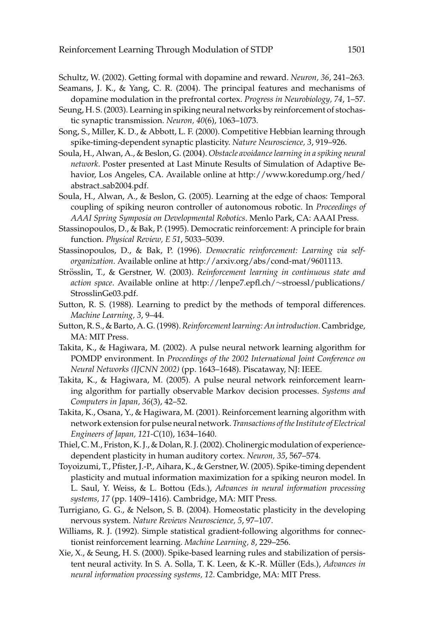Schultz, W. (2002). Getting formal with dopamine and reward. *Neuron, 36*, 241–263.

- Seamans, J. K., & Yang, C. R. (2004). The principal features and mechanisms of dopamine modulation in the prefrontal cortex. *Progress in Neurobiology, 74*, 1–57.
- Seung, H. S. (2003). Learning in spiking neural networks by reinforcement of stochastic synaptic transmission. *Neuron, 40*(6), 1063–1073.
- Song, S., Miller, K. D., & Abbott, L. F. (2000). Competitive Hebbian learning through spike-timing-dependent synaptic plasticity. *Nature Neuroscience, 3*, 919–926.
- Soula, H., Alwan, A., & Beslon, G. (2004). *Obstacle avoidance learning in a spiking neural network*. Poster presented at Last Minute Results of Simulation of Adaptive Behavior, Los Angeles, CA. Available online at http://www.koredump.org/hed/ abstract sab2004.pdf.
- Soula, H., Alwan, A., & Beslon, G. (2005). Learning at the edge of chaos: Temporal coupling of spiking neuron controller of autonomous robotic. In *Proceedings of AAAI Spring Symposia on Developmental Robotics*. Menlo Park, CA: AAAI Press.
- Stassinopoulos, D., & Bak, P. (1995). Democratic reinforcement: A principle for brain function. *Physical Review, E 51*, 5033–5039.
- Stassinopoulos, D., & Bak, P. (1996). *Democratic reinforcement: Learning via selforganization*. Available online at http://arxiv.org/abs/cond-mat/9601113.
- Strösslin, T., & Gerstner, W. (2003). Reinforcement learning in continuous state and *action space*. Available online at http://lenpe7.epfl.ch/∼stroessl/publications/ StrosslinGe03.pdf.
- Sutton, R. S. (1988). Learning to predict by the methods of temporal differences. *Machine Learning, 3*, 9–44.
- Sutton, R. S., & Barto, A. G. (1998).*Reinforcement learning: An introduction*. Cambridge, MA: MIT Press.
- Takita, K., & Hagiwara, M. (2002). A pulse neural network learning algorithm for POMDP environment. In *Proceedings of the 2002 International Joint Conference on Neural Networks (IJCNN 2002)* (pp. 1643–1648). Piscataway, NJ: IEEE.
- Takita, K., & Hagiwara, M. (2005). A pulse neural network reinforcement learning algorithm for partially observable Markov decision processes. *Systems and Computers in Japan, 36*(3), 42–52.
- Takita, K., Osana, Y., & Hagiwara, M. (2001). Reinforcement learning algorithm with network extension for pulse neural network. *Transactions of the Institute of Electrical Engineers of Japan, 121-C*(10), 1634–1640.
- Thiel, C. M., Friston, K. J., & Dolan, R. J. (2002). Cholinergic modulation of experiencedependent plasticity in human auditory cortex. *Neuron, 35*, 567–574.
- Toyoizumi, T., Pfister, J.-P., Aihara, K., & Gerstner, W. (2005). Spike-timing dependent plasticity and mutual information maximization for a spiking neuron model. In L. Saul, Y. Weiss, & L. Bottou (Eds.), *Advances in neural information processing systems, 17* (pp. 1409–1416). Cambridge, MA: MIT Press.
- Turrigiano, G. G., & Nelson, S. B. (2004). Homeostatic plasticity in the developing nervous system. *Nature Reviews Neuroscience, 5*, 97–107.
- Williams, R. J. (1992). Simple statistical gradient-following algorithms for connectionist reinforcement learning. *Machine Learning, 8*, 229–256.
- Xie, X., & Seung, H. S. (2000). Spike-based learning rules and stabilization of persistent neural activity. In S. A. Solla, T. K. Leen, & K.-R. Müller (Eds.), Advances in *neural information processing systems, 12*. Cambridge, MA: MIT Press.